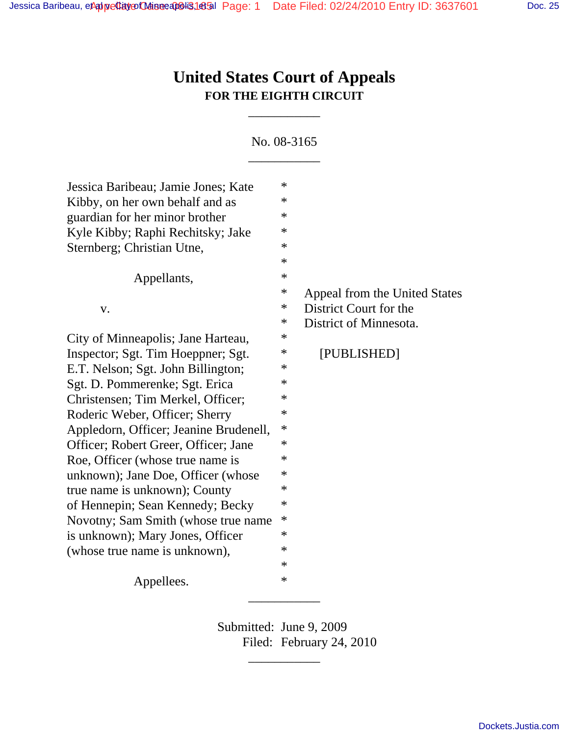# **United States Court of Appeals FOR THE EIGHTH CIRCUIT**

\_\_\_\_\_\_\_\_\_\_\_

No. 08-3165 \_\_\_\_\_\_\_\_\_\_\_

| Jessica Baribeau; Jamie Jones; Kate    | $\ast$ |                               |
|----------------------------------------|--------|-------------------------------|
| Kibby, on her own behalf and as        | ∗      |                               |
| guardian for her minor brother         | $\ast$ |                               |
| Kyle Kibby; Raphi Rechitsky; Jake      | ∗      |                               |
| Sternberg; Christian Utne,             | $\ast$ |                               |
|                                        | $\ast$ |                               |
| Appellants,                            | $\ast$ |                               |
|                                        | ∗      | Appeal from the United States |
| V.                                     | ∗      | District Court for the        |
|                                        | ∗      | District of Minnesota.        |
| City of Minneapolis; Jane Harteau,     | ∗      |                               |
| Inspector; Sgt. Tim Hoeppner; Sgt.     | ∗      | [PUBLISHED]                   |
| E.T. Nelson; Sgt. John Billington;     | $\ast$ |                               |
| Sgt. D. Pommerenke; Sgt. Erica         | $\ast$ |                               |
| Christensen; Tim Merkel, Officer;      | ∗      |                               |
| Roderic Weber, Officer; Sherry         | $\ast$ |                               |
| Appledorn, Officer; Jeanine Brudenell, | ∗      |                               |
| Officer; Robert Greer, Officer; Jane   | ∗      |                               |
| Roe, Officer (whose true name is       | $\ast$ |                               |
| unknown); Jane Doe, Officer (whose     | $\ast$ |                               |
| true name is unknown); County          | ∗      |                               |
| of Hennepin; Sean Kennedy; Becky       | ∗      |                               |
| Novotny; Sam Smith (whose true name    | ∗      |                               |
| is unknown); Mary Jones, Officer       | ∗      |                               |
| (whose true name is unknown),          | $\ast$ |                               |
|                                        | $\ast$ |                               |
| Appellees.                             | $\ast$ |                               |
|                                        |        |                               |

Submitted: June 9, 2009 Filed: February 24, 2010

\_\_\_\_\_\_\_\_\_\_\_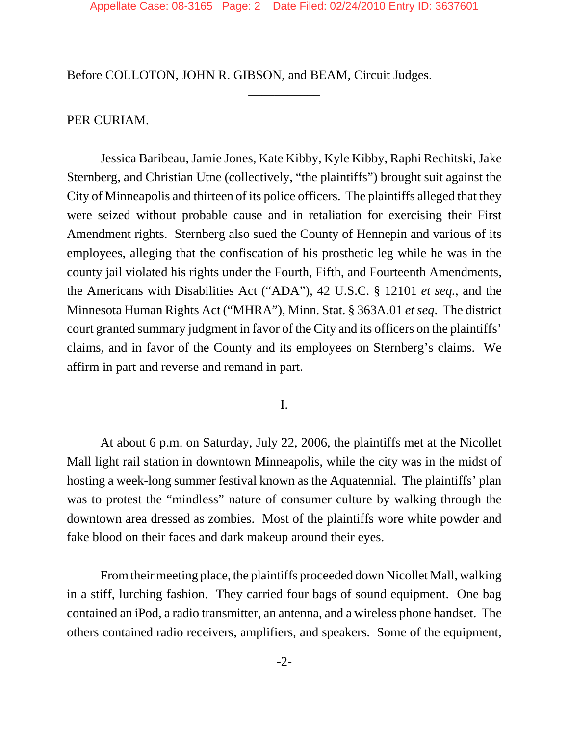\_\_\_\_\_\_\_\_\_\_\_

Before COLLOTON, JOHN R. GIBSON, and BEAM, Circuit Judges.

## PER CURIAM.

Jessica Baribeau, Jamie Jones, Kate Kibby, Kyle Kibby, Raphi Rechitski, Jake Sternberg, and Christian Utne (collectively, "the plaintiffs") brought suit against the City of Minneapolis and thirteen of its police officers. The plaintiffs alleged that they were seized without probable cause and in retaliation for exercising their First Amendment rights. Sternberg also sued the County of Hennepin and various of its employees, alleging that the confiscation of his prosthetic leg while he was in the county jail violated his rights under the Fourth, Fifth, and Fourteenth Amendments, the Americans with Disabilities Act ("ADA"), 42 U.S.C. § 12101 *et seq.*, and the Minnesota Human Rights Act ("MHRA"), Minn. Stat. § 363A.01 *et seq*. The district court granted summary judgment in favor of the City and its officers on the plaintiffs' claims, and in favor of the County and its employees on Sternberg's claims. We affirm in part and reverse and remand in part.

I.

At about 6 p.m. on Saturday, July 22, 2006, the plaintiffs met at the Nicollet Mall light rail station in downtown Minneapolis, while the city was in the midst of hosting a week-long summer festival known as the Aquatennial. The plaintiffs' plan was to protest the "mindless" nature of consumer culture by walking through the downtown area dressed as zombies. Most of the plaintiffs wore white powder and fake blood on their faces and dark makeup around their eyes.

From their meeting place, the plaintiffs proceeded down Nicollet Mall, walking in a stiff, lurching fashion. They carried four bags of sound equipment. One bag contained an iPod, a radio transmitter, an antenna, and a wireless phone handset. The others contained radio receivers, amplifiers, and speakers. Some of the equipment,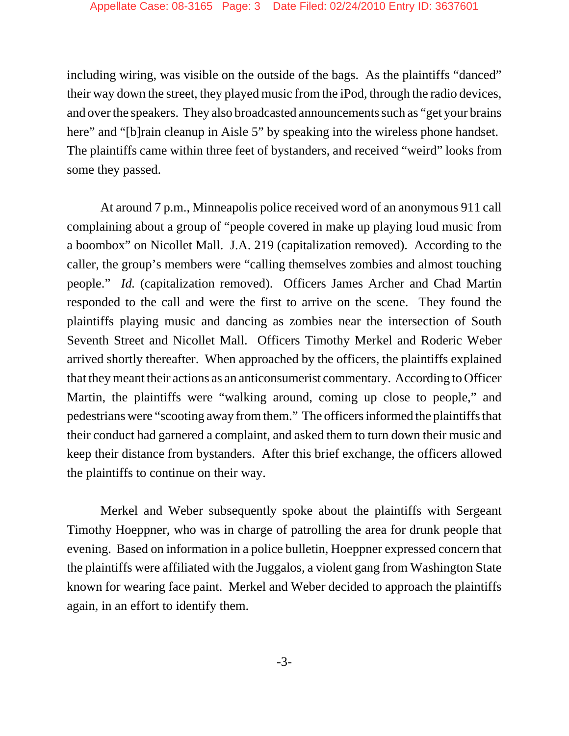including wiring, was visible on the outside of the bags. As the plaintiffs "danced" their way down the street, they played music from the iPod, through the radio devices, and over the speakers. They also broadcasted announcements such as "get your brains here" and "[b]rain cleanup in Aisle 5" by speaking into the wireless phone handset. The plaintiffs came within three feet of bystanders, and received "weird" looks from some they passed.

At around 7 p.m., Minneapolis police received word of an anonymous 911 call complaining about a group of "people covered in make up playing loud music from a boombox" on Nicollet Mall. J.A. 219 (capitalization removed). According to the caller, the group's members were "calling themselves zombies and almost touching people." *Id.* (capitalization removed). Officers James Archer and Chad Martin responded to the call and were the first to arrive on the scene. They found the plaintiffs playing music and dancing as zombies near the intersection of South Seventh Street and Nicollet Mall. Officers Timothy Merkel and Roderic Weber arrived shortly thereafter. When approached by the officers, the plaintiffs explained that they meant their actions as an anticonsumerist commentary. According to Officer Martin, the plaintiffs were "walking around, coming up close to people," and pedestrians were "scooting away from them." The officers informed the plaintiffs that their conduct had garnered a complaint, and asked them to turn down their music and keep their distance from bystanders. After this brief exchange, the officers allowed the plaintiffs to continue on their way.

Merkel and Weber subsequently spoke about the plaintiffs with Sergeant Timothy Hoeppner, who was in charge of patrolling the area for drunk people that evening. Based on information in a police bulletin, Hoeppner expressed concern that the plaintiffs were affiliated with the Juggalos, a violent gang from Washington State known for wearing face paint. Merkel and Weber decided to approach the plaintiffs again, in an effort to identify them.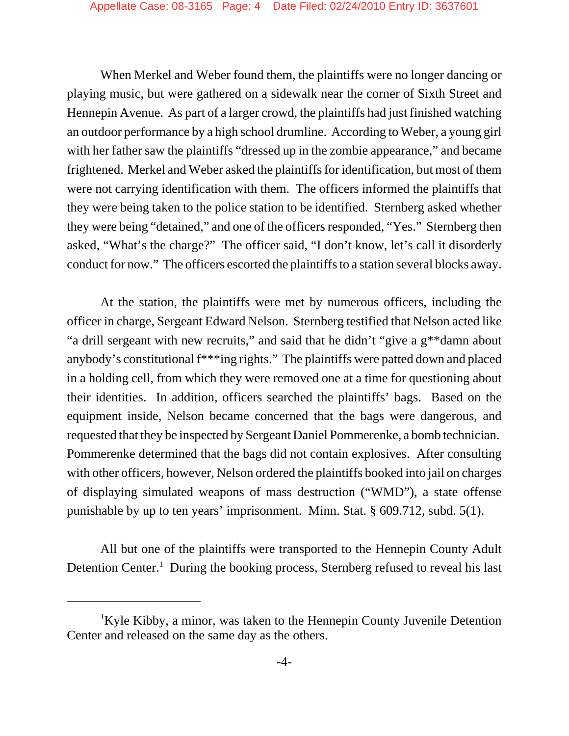When Merkel and Weber found them, the plaintiffs were no longer dancing or playing music, but were gathered on a sidewalk near the corner of Sixth Street and Hennepin Avenue. As part of a larger crowd, the plaintiffs had just finished watching an outdoor performance by a high school drumline. According to Weber, a young girl with her father saw the plaintiffs "dressed up in the zombie appearance," and became frightened. Merkel and Weber asked the plaintiffs for identification, but most of them were not carrying identification with them. The officers informed the plaintiffs that they were being taken to the police station to be identified. Sternberg asked whether they were being "detained," and one of the officers responded, "Yes." Sternberg then asked, "What's the charge?" The officer said, "I don't know, let's call it disorderly conduct for now." The officers escorted the plaintiffs to a station several blocks away.

At the station, the plaintiffs were met by numerous officers, including the officer in charge, Sergeant Edward Nelson. Sternberg testified that Nelson acted like "a drill sergeant with new recruits," and said that he didn't "give a g\*\*damn about anybody's constitutional f\*\*\*ing rights." The plaintiffs were patted down and placed in a holding cell, from which they were removed one at a time for questioning about their identities. In addition, officers searched the plaintiffs' bags. Based on the equipment inside, Nelson became concerned that the bags were dangerous, and requested that they be inspected by Sergeant Daniel Pommerenke, a bomb technician. Pommerenke determined that the bags did not contain explosives. After consulting with other officers, however, Nelson ordered the plaintiffs booked into jail on charges of displaying simulated weapons of mass destruction ("WMD"), a state offense punishable by up to ten years' imprisonment. Minn. Stat. § 609.712, subd. 5(1).

All but one of the plaintiffs were transported to the Hennepin County Adult Detention Center.<sup>1</sup> During the booking process, Sternberg refused to reveal his last

<sup>&</sup>lt;sup>1</sup>Kyle Kibby, a minor, was taken to the Hennepin County Juvenile Detention Center and released on the same day as the others.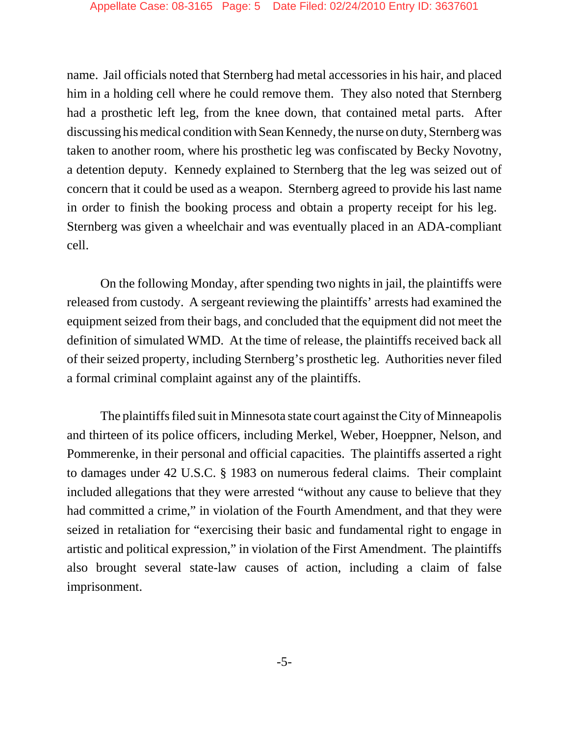name. Jail officials noted that Sternberg had metal accessories in his hair, and placed him in a holding cell where he could remove them. They also noted that Sternberg had a prosthetic left leg, from the knee down, that contained metal parts. After discussing his medical condition with Sean Kennedy, the nurse on duty, Sternberg was taken to another room, where his prosthetic leg was confiscated by Becky Novotny, a detention deputy. Kennedy explained to Sternberg that the leg was seized out of concern that it could be used as a weapon. Sternberg agreed to provide his last name in order to finish the booking process and obtain a property receipt for his leg. Sternberg was given a wheelchair and was eventually placed in an ADA-compliant cell.

On the following Monday, after spending two nights in jail, the plaintiffs were released from custody. A sergeant reviewing the plaintiffs' arrests had examined the equipment seized from their bags, and concluded that the equipment did not meet the definition of simulated WMD. At the time of release, the plaintiffs received back all of their seized property, including Sternberg's prosthetic leg. Authorities never filed a formal criminal complaint against any of the plaintiffs.

The plaintiffs filed suit in Minnesota state court against the City of Minneapolis and thirteen of its police officers, including Merkel, Weber, Hoeppner, Nelson, and Pommerenke, in their personal and official capacities. The plaintiffs asserted a right to damages under 42 U.S.C. § 1983 on numerous federal claims. Their complaint included allegations that they were arrested "without any cause to believe that they had committed a crime," in violation of the Fourth Amendment, and that they were seized in retaliation for "exercising their basic and fundamental right to engage in artistic and political expression," in violation of the First Amendment. The plaintiffs also brought several state-law causes of action, including a claim of false imprisonment.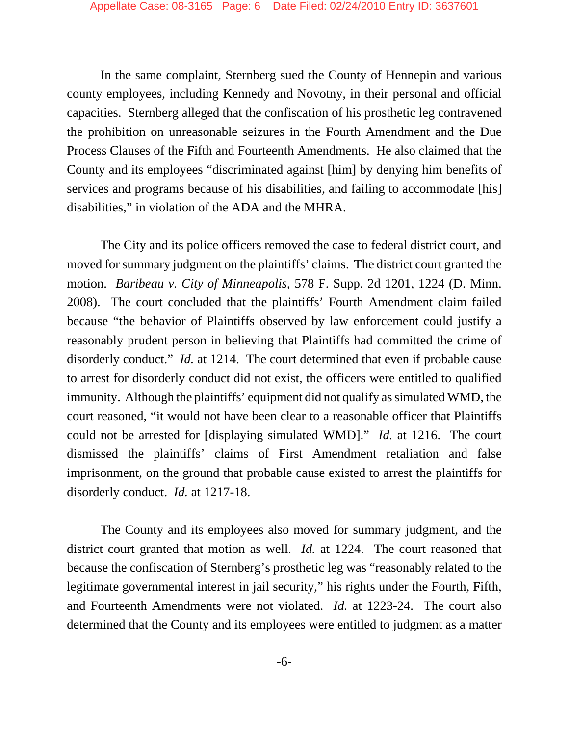In the same complaint, Sternberg sued the County of Hennepin and various county employees, including Kennedy and Novotny, in their personal and official capacities. Sternberg alleged that the confiscation of his prosthetic leg contravened the prohibition on unreasonable seizures in the Fourth Amendment and the Due Process Clauses of the Fifth and Fourteenth Amendments. He also claimed that the County and its employees "discriminated against [him] by denying him benefits of services and programs because of his disabilities, and failing to accommodate [his] disabilities," in violation of the ADA and the MHRA.

The City and its police officers removed the case to federal district court, and moved for summary judgment on the plaintiffs' claims. The district court granted the motion. *Baribeau v. City of Minneapolis*, 578 F. Supp. 2d 1201, 1224 (D. Minn. 2008). The court concluded that the plaintiffs' Fourth Amendment claim failed because "the behavior of Plaintiffs observed by law enforcement could justify a reasonably prudent person in believing that Plaintiffs had committed the crime of disorderly conduct." *Id.* at 1214. The court determined that even if probable cause to arrest for disorderly conduct did not exist, the officers were entitled to qualified immunity. Although the plaintiffs' equipment did not qualify as simulated WMD, the court reasoned, "it would not have been clear to a reasonable officer that Plaintiffs could not be arrested for [displaying simulated WMD]." *Id.* at 1216. The court dismissed the plaintiffs' claims of First Amendment retaliation and false imprisonment, on the ground that probable cause existed to arrest the plaintiffs for disorderly conduct. *Id.* at 1217-18.

The County and its employees also moved for summary judgment, and the district court granted that motion as well. *Id.* at 1224. The court reasoned that because the confiscation of Sternberg's prosthetic leg was "reasonably related to the legitimate governmental interest in jail security," his rights under the Fourth, Fifth, and Fourteenth Amendments were not violated. *Id.* at 1223-24. The court also determined that the County and its employees were entitled to judgment as a matter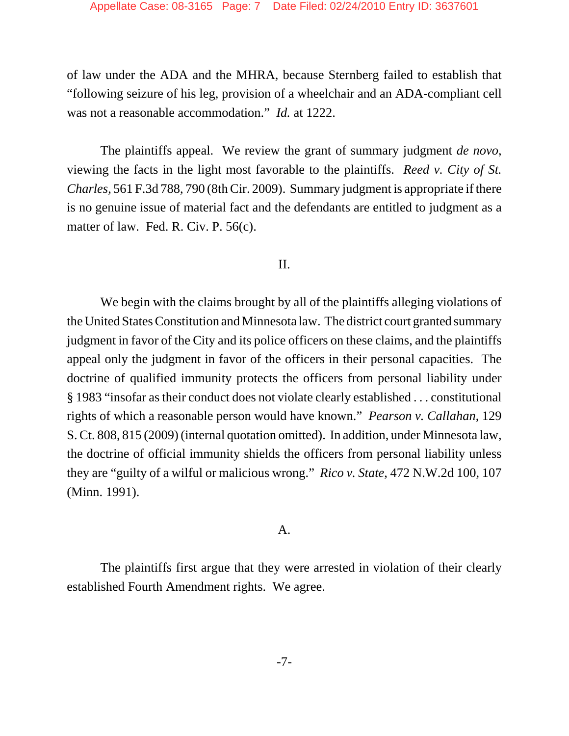of law under the ADA and the MHRA, because Sternberg failed to establish that "following seizure of his leg, provision of a wheelchair and an ADA-compliant cell was not a reasonable accommodation." *Id.* at 1222.

The plaintiffs appeal. We review the grant of summary judgment *de novo*, viewing the facts in the light most favorable to the plaintiffs. *Reed v. City of St. Charles*, 561 F.3d 788, 790 (8th Cir. 2009). Summary judgment is appropriate if there is no genuine issue of material fact and the defendants are entitled to judgment as a matter of law. Fed. R. Civ. P. 56(c).

#### II.

We begin with the claims brought by all of the plaintiffs alleging violations of the United States Constitution and Minnesota law. The district court granted summary judgment in favor of the City and its police officers on these claims, and the plaintiffs appeal only the judgment in favor of the officers in their personal capacities. The doctrine of qualified immunity protects the officers from personal liability under § 1983 "insofar as their conduct does not violate clearly established . . . constitutional rights of which a reasonable person would have known." *Pearson v. Callahan*, 129 S. Ct. 808, 815 (2009) (internal quotation omitted). In addition, under Minnesota law, the doctrine of official immunity shields the officers from personal liability unless they are "guilty of a wilful or malicious wrong." *Rico v. State*, 472 N.W.2d 100, 107 (Minn. 1991).

#### A.

The plaintiffs first argue that they were arrested in violation of their clearly established Fourth Amendment rights. We agree.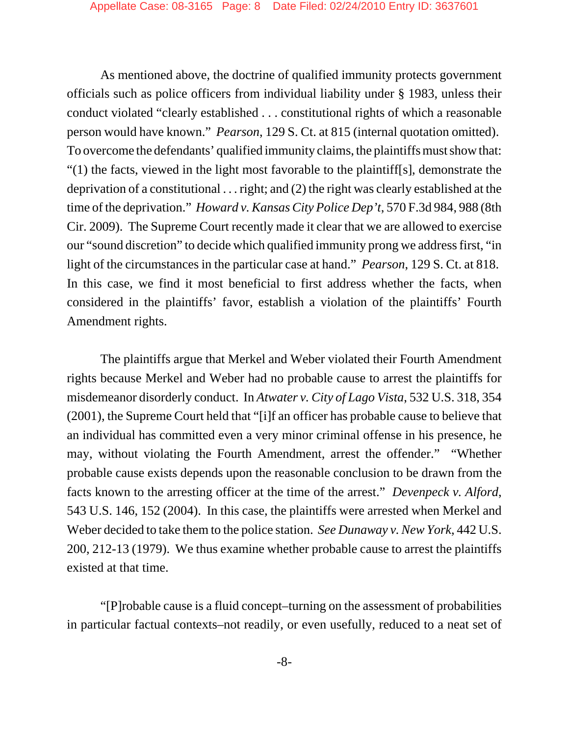As mentioned above, the doctrine of qualified immunity protects government officials such as police officers from individual liability under § 1983, unless their conduct violated "clearly established . . . constitutional rights of which a reasonable person would have known." *Pearson*, 129 S. Ct. at 815 (internal quotation omitted). To overcome the defendants' qualified immunity claims, the plaintiffs must show that: "(1) the facts, viewed in the light most favorable to the plaintiff[s], demonstrate the deprivation of a constitutional . . . right; and (2) the right was clearly established at the time of the deprivation." *Howard v. Kansas City Police Dep't*, 570 F.3d 984, 988 (8th Cir. 2009). The Supreme Court recently made it clear that we are allowed to exercise our "sound discretion" to decide which qualified immunity prong we address first, "in light of the circumstances in the particular case at hand." *Pearson*, 129 S. Ct. at 818. In this case, we find it most beneficial to first address whether the facts, when considered in the plaintiffs' favor, establish a violation of the plaintiffs' Fourth Amendment rights.

The plaintiffs argue that Merkel and Weber violated their Fourth Amendment rights because Merkel and Weber had no probable cause to arrest the plaintiffs for misdemeanor disorderly conduct. In *Atwater v. City of Lago Vista*, 532 U.S. 318, 354 (2001), the Supreme Court held that "[i]f an officer has probable cause to believe that an individual has committed even a very minor criminal offense in his presence, he may, without violating the Fourth Amendment, arrest the offender." "Whether probable cause exists depends upon the reasonable conclusion to be drawn from the facts known to the arresting officer at the time of the arrest." *Devenpeck v. Alford*, 543 U.S. 146, 152 (2004). In this case, the plaintiffs were arrested when Merkel and Weber decided to take them to the police station. *See Dunaway v. New York*, 442 U.S. 200, 212-13 (1979). We thus examine whether probable cause to arrest the plaintiffs existed at that time.

"[P]robable cause is a fluid concept–turning on the assessment of probabilities in particular factual contexts–not readily, or even usefully, reduced to a neat set of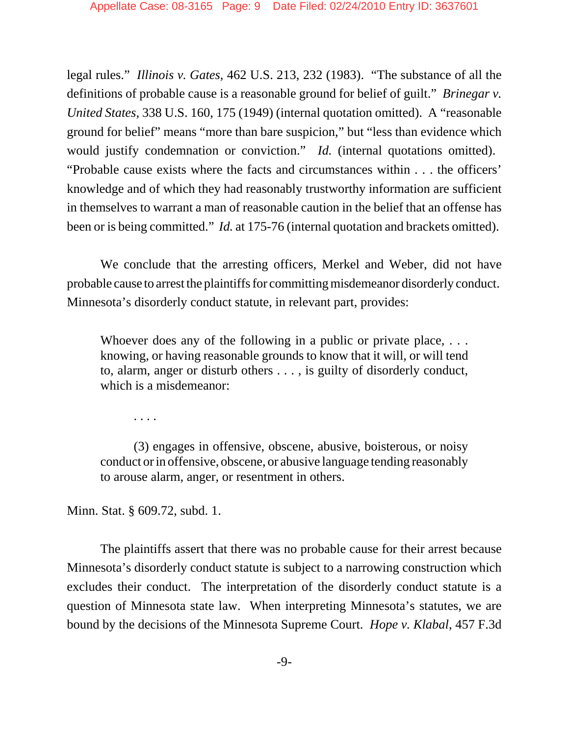legal rules." *Illinois v. Gates*, 462 U.S. 213, 232 (1983). "The substance of all the definitions of probable cause is a reasonable ground for belief of guilt." *Brinegar v. United States*, 338 U.S. 160, 175 (1949) (internal quotation omitted). A "reasonable ground for belief" means "more than bare suspicion," but "less than evidence which would justify condemnation or conviction." *Id.* (internal quotations omitted). "Probable cause exists where the facts and circumstances within . . . the officers' knowledge and of which they had reasonably trustworthy information are sufficient in themselves to warrant a man of reasonable caution in the belief that an offense has been or is being committed." *Id.* at 175-76 (internal quotation and brackets omitted).

We conclude that the arresting officers, Merkel and Weber, did not have probable cause to arrest the plaintiffs for committing misdemeanor disorderly conduct. Minnesota's disorderly conduct statute, in relevant part, provides:

Whoever does any of the following in a public or private place, ... knowing, or having reasonable grounds to know that it will, or will tend to, alarm, anger or disturb others . . . , is guilty of disorderly conduct, which is a misdemeanor:

. . . .

(3) engages in offensive, obscene, abusive, boisterous, or noisy conduct or in offensive, obscene, or abusive language tending reasonably to arouse alarm, anger, or resentment in others.

Minn. Stat. § 609.72, subd. 1.

The plaintiffs assert that there was no probable cause for their arrest because Minnesota's disorderly conduct statute is subject to a narrowing construction which excludes their conduct. The interpretation of the disorderly conduct statute is a question of Minnesota state law. When interpreting Minnesota's statutes, we are bound by the decisions of the Minnesota Supreme Court. *Hope v. Klabal*, 457 F.3d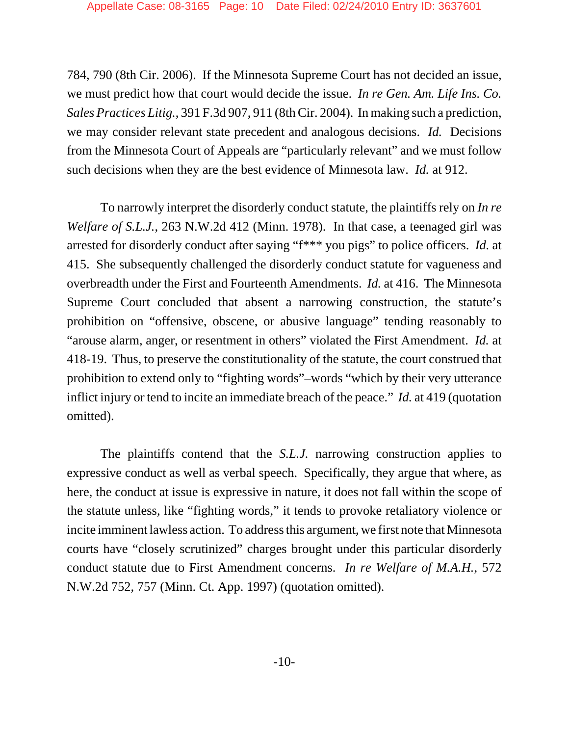784, 790 (8th Cir. 2006). If the Minnesota Supreme Court has not decided an issue, we must predict how that court would decide the issue. *In re Gen. Am. Life Ins. Co. Sales Practices Litig.*, 391 F.3d 907, 911 (8th Cir. 2004). In making such a prediction, we may consider relevant state precedent and analogous decisions. *Id.* Decisions from the Minnesota Court of Appeals are "particularly relevant" and we must follow such decisions when they are the best evidence of Minnesota law. *Id.* at 912.

To narrowly interpret the disorderly conduct statute, the plaintiffs rely on *In re Welfare of S.L.J.*, 263 N.W.2d 412 (Minn. 1978). In that case, a teenaged girl was arrested for disorderly conduct after saying "f\*\*\* you pigs" to police officers. *Id.* at 415. She subsequently challenged the disorderly conduct statute for vagueness and overbreadth under the First and Fourteenth Amendments. *Id.* at 416. The Minnesota Supreme Court concluded that absent a narrowing construction, the statute's prohibition on "offensive, obscene, or abusive language" tending reasonably to "arouse alarm, anger, or resentment in others" violated the First Amendment. *Id.* at 418-19. Thus, to preserve the constitutionality of the statute, the court construed that prohibition to extend only to "fighting words"–words "which by their very utterance inflict injury or tend to incite an immediate breach of the peace." *Id.* at 419 (quotation omitted).

The plaintiffs contend that the *S.L.J.* narrowing construction applies to expressive conduct as well as verbal speech. Specifically, they argue that where, as here, the conduct at issue is expressive in nature, it does not fall within the scope of the statute unless, like "fighting words," it tends to provoke retaliatory violence or incite imminent lawless action. To address this argument, we first note that Minnesota courts have "closely scrutinized" charges brought under this particular disorderly conduct statute due to First Amendment concerns. *In re Welfare of M.A.H.*, 572 N.W.2d 752, 757 (Minn. Ct. App. 1997) (quotation omitted).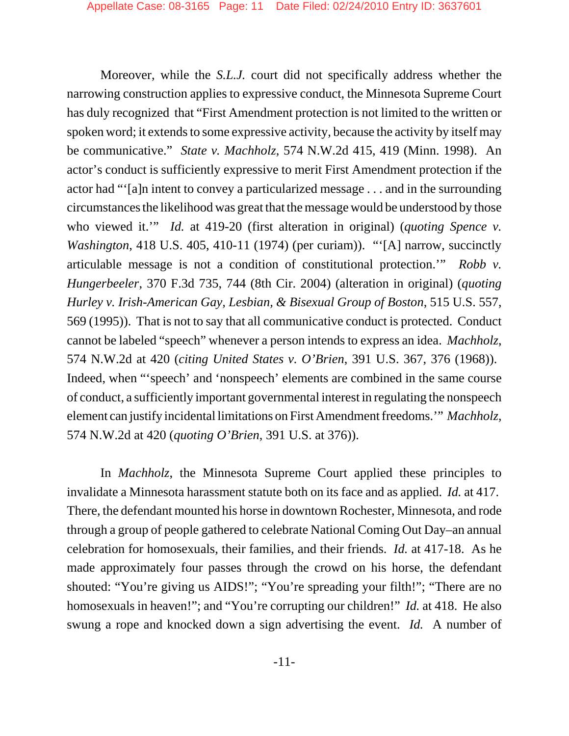Moreover, while the *S.L.J.* court did not specifically address whether the narrowing construction applies to expressive conduct, the Minnesota Supreme Court has duly recognized that "First Amendment protection is not limited to the written or spoken word; it extends to some expressive activity, because the activity by itself may be communicative." *State v. Machholz*, 574 N.W.2d 415, 419 (Minn. 1998). An actor's conduct is sufficiently expressive to merit First Amendment protection if the actor had "'[a]n intent to convey a particularized message . . . and in the surrounding circumstances the likelihood was great that the message would be understood by those who viewed it.'" *Id.* at 419-20 (first alteration in original) (*quoting Spence v. Washington*, 418 U.S. 405, 410-11 (1974) (per curiam)). "'[A] narrow, succinctly articulable message is not a condition of constitutional protection.'" *Robb v. Hungerbeeler*, 370 F.3d 735, 744 (8th Cir. 2004) (alteration in original) (*quoting Hurley v. Irish-American Gay, Lesbian, & Bisexual Group of Boston*, 515 U.S. 557, 569 (1995)). That is not to say that all communicative conduct is protected. Conduct cannot be labeled "speech" whenever a person intends to express an idea. *Machholz*, 574 N.W.2d at 420 (*citing United States v. O'Brien*, 391 U.S. 367, 376 (1968)). Indeed, when "speech' and 'nonspeech' elements are combined in the same course of conduct, a sufficiently important governmental interest in regulating the nonspeech element can justify incidental limitations on First Amendment freedoms.'" *Machholz*, 574 N.W.2d at 420 (*quoting O'Brien*, 391 U.S. at 376)).

In *Machholz*, the Minnesota Supreme Court applied these principles to invalidate a Minnesota harassment statute both on its face and as applied. *Id.* at 417. There, the defendant mounted his horse in downtown Rochester, Minnesota, and rode through a group of people gathered to celebrate National Coming Out Day–an annual celebration for homosexuals, their families, and their friends. *Id.* at 417-18. As he made approximately four passes through the crowd on his horse, the defendant shouted: "You're giving us AIDS!"; "You're spreading your filth!"; "There are no homosexuals in heaven!"; and "You're corrupting our children!" *Id.* at 418. He also swung a rope and knocked down a sign advertising the event. *Id.* A number of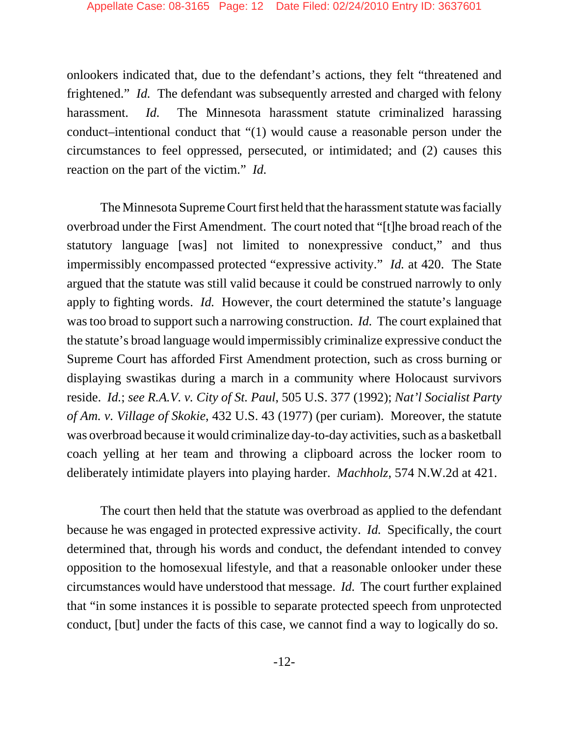onlookers indicated that, due to the defendant's actions, they felt "threatened and frightened." *Id.* The defendant was subsequently arrested and charged with felony harassment. *Id.* The Minnesota harassment statute criminalized harassing conduct–intentional conduct that "(1) would cause a reasonable person under the circumstances to feel oppressed, persecuted, or intimidated; and (2) causes this reaction on the part of the victim." *Id.*

The Minnesota Supreme Court first held that the harassment statute was facially overbroad under the First Amendment. The court noted that "[t]he broad reach of the statutory language [was] not limited to nonexpressive conduct," and thus impermissibly encompassed protected "expressive activity." *Id.* at 420. The State argued that the statute was still valid because it could be construed narrowly to only apply to fighting words. *Id.* However, the court determined the statute's language was too broad to support such a narrowing construction. *Id.* The court explained that the statute's broad language would impermissibly criminalize expressive conduct the Supreme Court has afforded First Amendment protection, such as cross burning or displaying swastikas during a march in a community where Holocaust survivors reside. *Id.*; *see R.A.V. v. City of St. Paul*, 505 U.S. 377 (1992); *Nat'l Socialist Party of Am. v. Village of Skokie*, 432 U.S. 43 (1977) (per curiam). Moreover, the statute was overbroad because it would criminalize day-to-day activities, such as a basketball coach yelling at her team and throwing a clipboard across the locker room to deliberately intimidate players into playing harder. *Machholz*, 574 N.W.2d at 421.

The court then held that the statute was overbroad as applied to the defendant because he was engaged in protected expressive activity. *Id.* Specifically, the court determined that, through his words and conduct, the defendant intended to convey opposition to the homosexual lifestyle, and that a reasonable onlooker under these circumstances would have understood that message. *Id.* The court further explained that "in some instances it is possible to separate protected speech from unprotected conduct, [but] under the facts of this case, we cannot find a way to logically do so.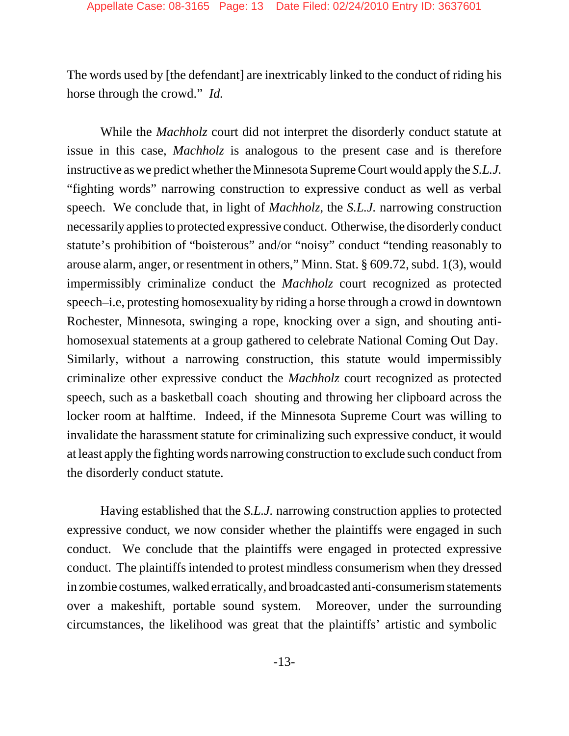The words used by [the defendant] are inextricably linked to the conduct of riding his horse through the crowd." *Id.*

While the *Machholz* court did not interpret the disorderly conduct statute at issue in this case, *Machholz* is analogous to the present case and is therefore instructive as we predict whether the Minnesota Supreme Court would apply the *S.L.J.* "fighting words" narrowing construction to expressive conduct as well as verbal speech. We conclude that, in light of *Machholz*, the *S.L.J.* narrowing construction necessarily applies to protected expressive conduct. Otherwise, the disorderly conduct statute's prohibition of "boisterous" and/or "noisy" conduct "tending reasonably to arouse alarm, anger, or resentment in others," Minn. Stat. § 609.72, subd. 1(3), would impermissibly criminalize conduct the *Machholz* court recognized as protected speech–i.e, protesting homosexuality by riding a horse through a crowd in downtown Rochester, Minnesota, swinging a rope, knocking over a sign, and shouting antihomosexual statements at a group gathered to celebrate National Coming Out Day. Similarly, without a narrowing construction, this statute would impermissibly criminalize other expressive conduct the *Machholz* court recognized as protected speech, such as a basketball coach shouting and throwing her clipboard across the locker room at halftime. Indeed, if the Minnesota Supreme Court was willing to invalidate the harassment statute for criminalizing such expressive conduct, it would at least apply the fighting words narrowing construction to exclude such conduct from the disorderly conduct statute.

Having established that the *S.L.J.* narrowing construction applies to protected expressive conduct, we now consider whether the plaintiffs were engaged in such conduct. We conclude that the plaintiffs were engaged in protected expressive conduct. The plaintiffs intended to protest mindless consumerism when they dressed in zombie costumes, walked erratically, and broadcasted anti-consumerism statements over a makeshift, portable sound system. Moreover, under the surrounding circumstances, the likelihood was great that the plaintiffs' artistic and symbolic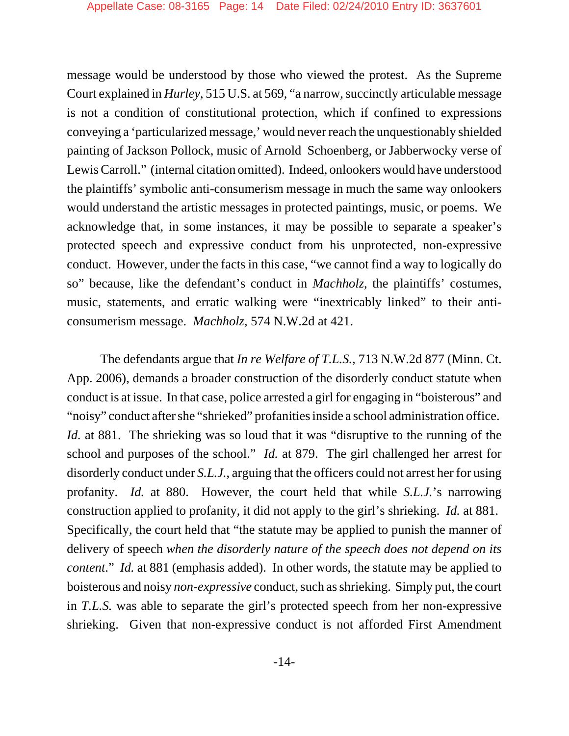message would be understood by those who viewed the protest. As the Supreme Court explained in *Hurley*, 515 U.S. at 569, "a narrow, succinctly articulable message is not a condition of constitutional protection, which if confined to expressions conveying a 'particularized message,' would never reach the unquestionably shielded painting of Jackson Pollock, music of Arnold Schoenberg, or Jabberwocky verse of Lewis Carroll." (internal citation omitted). Indeed, onlookers would have understood the plaintiffs' symbolic anti-consumerism message in much the same way onlookers would understand the artistic messages in protected paintings, music, or poems. We acknowledge that, in some instances, it may be possible to separate a speaker's protected speech and expressive conduct from his unprotected, non-expressive conduct. However, under the facts in this case, "we cannot find a way to logically do so" because, like the defendant's conduct in *Machholz*, the plaintiffs' costumes, music, statements, and erratic walking were "inextricably linked" to their anticonsumerism message. *Machholz*, 574 N.W.2d at 421.

The defendants argue that *In re Welfare of T.L.S.*, 713 N.W.2d 877 (Minn. Ct. App. 2006), demands a broader construction of the disorderly conduct statute when conduct is at issue. In that case, police arrested a girl for engaging in "boisterous" and "noisy" conduct after she "shrieked" profanities inside a school administration office. *Id.* at 881. The shrieking was so loud that it was "disruptive to the running of the school and purposes of the school." *Id.* at 879. The girl challenged her arrest for disorderly conduct under *S.L.J.*, arguing that the officers could not arrest her for using profanity. *Id.* at 880. However, the court held that while *S.L.J.*'s narrowing construction applied to profanity, it did not apply to the girl's shrieking. *Id.* at 881. Specifically, the court held that "the statute may be applied to punish the manner of delivery of speech *when the disorderly nature of the speech does not depend on its content*." *Id.* at 881 (emphasis added). In other words, the statute may be applied to boisterous and noisy *non-expressive* conduct, such as shrieking. Simply put, the court in *T.L.S.* was able to separate the girl's protected speech from her non-expressive shrieking. Given that non-expressive conduct is not afforded First Amendment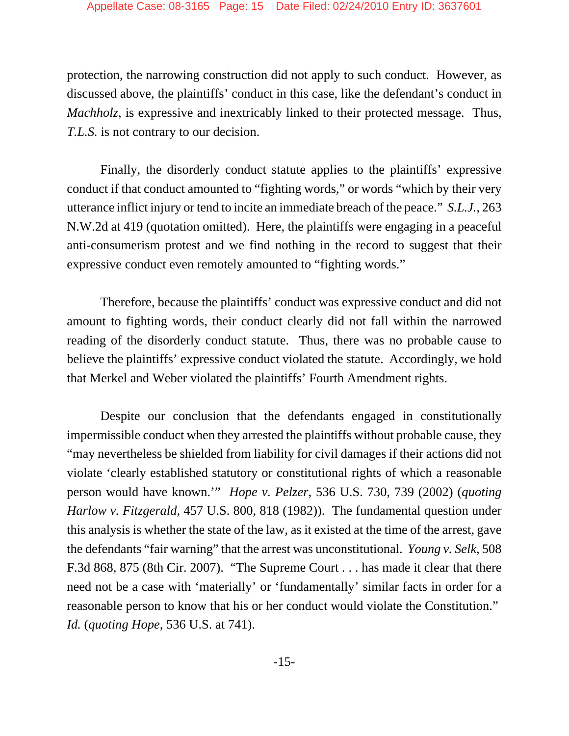protection, the narrowing construction did not apply to such conduct. However, as discussed above, the plaintiffs' conduct in this case, like the defendant's conduct in *Machholz*, is expressive and inextricably linked to their protected message. Thus, *T.L.S.* is not contrary to our decision.

Finally, the disorderly conduct statute applies to the plaintiffs' expressive conduct if that conduct amounted to "fighting words," or words "which by their very utterance inflict injury or tend to incite an immediate breach of the peace." *S.L.J.*, 263 N.W.2d at 419 (quotation omitted). Here, the plaintiffs were engaging in a peaceful anti-consumerism protest and we find nothing in the record to suggest that their expressive conduct even remotely amounted to "fighting words."

Therefore, because the plaintiffs' conduct was expressive conduct and did not amount to fighting words, their conduct clearly did not fall within the narrowed reading of the disorderly conduct statute. Thus, there was no probable cause to believe the plaintiffs' expressive conduct violated the statute. Accordingly, we hold that Merkel and Weber violated the plaintiffs' Fourth Amendment rights.

Despite our conclusion that the defendants engaged in constitutionally impermissible conduct when they arrested the plaintiffs without probable cause, they "may nevertheless be shielded from liability for civil damages if their actions did not violate 'clearly established statutory or constitutional rights of which a reasonable person would have known.'" *Hope v. Pelzer*, 536 U.S. 730, 739 (2002) (*quoting Harlow v. Fitzgerald*, 457 U.S. 800, 818 (1982)). The fundamental question under this analysis is whether the state of the law, as it existed at the time of the arrest, gave the defendants "fair warning" that the arrest was unconstitutional. *Young v. Selk*, 508 F.3d 868, 875 (8th Cir. 2007). "The Supreme Court . . . has made it clear that there need not be a case with 'materially' or 'fundamentally' similar facts in order for a reasonable person to know that his or her conduct would violate the Constitution." *Id.* (*quoting Hope*, 536 U.S. at 741).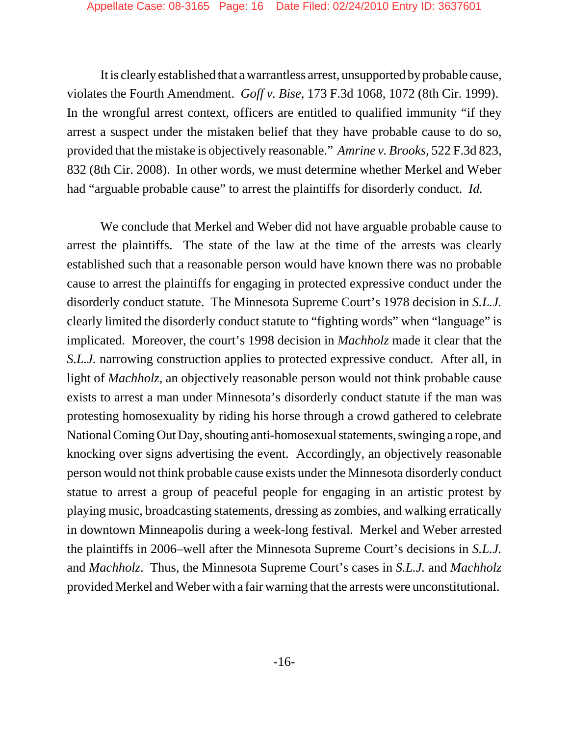It is clearly established that a warrantless arrest, unsupported by probable cause, violates the Fourth Amendment. *Goff v. Bise*, 173 F.3d 1068, 1072 (8th Cir. 1999). In the wrongful arrest context, officers are entitled to qualified immunity "if they arrest a suspect under the mistaken belief that they have probable cause to do so, provided that the mistake is objectively reasonable." *Amrine v. Brooks*, 522 F.3d 823, 832 (8th Cir. 2008). In other words, we must determine whether Merkel and Weber had "arguable probable cause" to arrest the plaintiffs for disorderly conduct. *Id.*

We conclude that Merkel and Weber did not have arguable probable cause to arrest the plaintiffs. The state of the law at the time of the arrests was clearly established such that a reasonable person would have known there was no probable cause to arrest the plaintiffs for engaging in protected expressive conduct under the disorderly conduct statute. The Minnesota Supreme Court's 1978 decision in *S.L.J.* clearly limited the disorderly conduct statute to "fighting words" when "language" is implicated. Moreover, the court's 1998 decision in *Machholz* made it clear that the *S.L.J.* narrowing construction applies to protected expressive conduct. After all, in light of *Machholz*, an objectively reasonable person would not think probable cause exists to arrest a man under Minnesota's disorderly conduct statute if the man was protesting homosexuality by riding his horse through a crowd gathered to celebrate National Coming Out Day, shouting anti-homosexual statements, swinging a rope, and knocking over signs advertising the event. Accordingly, an objectively reasonable person would not think probable cause exists under the Minnesota disorderly conduct statue to arrest a group of peaceful people for engaging in an artistic protest by playing music, broadcasting statements, dressing as zombies, and walking erratically in downtown Minneapolis during a week-long festival. Merkel and Weber arrested the plaintiffs in 2006–well after the Minnesota Supreme Court's decisions in *S.L.J.* and *Machholz*. Thus, the Minnesota Supreme Court's cases in *S.L.J.* and *Machholz* provided Merkel and Weber with a fair warning that the arrests were unconstitutional.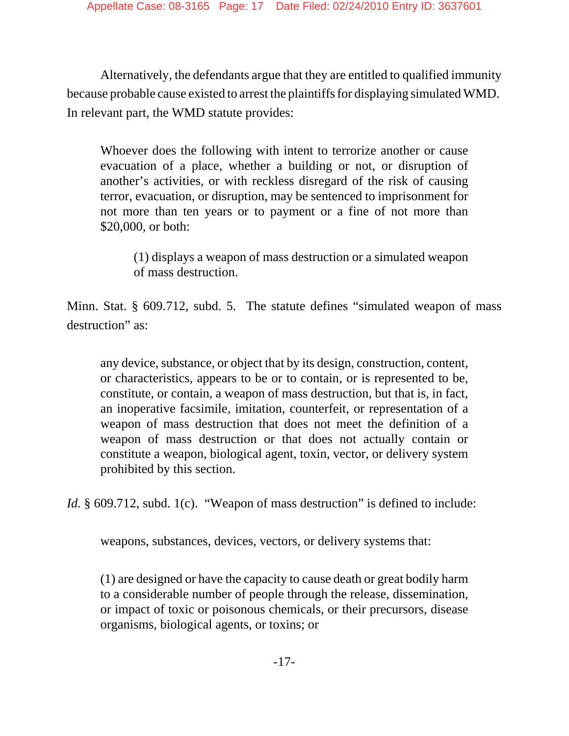Alternatively, the defendants argue that they are entitled to qualified immunity because probable cause existed to arrest the plaintiffs for displaying simulated WMD. In relevant part, the WMD statute provides:

Whoever does the following with intent to terrorize another or cause evacuation of a place, whether a building or not, or disruption of another's activities, or with reckless disregard of the risk of causing terror, evacuation, or disruption, may be sentenced to imprisonment for not more than ten years or to payment or a fine of not more than \$20,000, or both:

(1) displays a weapon of mass destruction or a simulated weapon of mass destruction.

Minn. Stat. § 609.712, subd. 5. The statute defines "simulated weapon of mass destruction" as:

any device, substance, or object that by its design, construction, content, or characteristics, appears to be or to contain, or is represented to be, constitute, or contain, a weapon of mass destruction, but that is, in fact, an inoperative facsimile, imitation, counterfeit, or representation of a weapon of mass destruction that does not meet the definition of a weapon of mass destruction or that does not actually contain or constitute a weapon, biological agent, toxin, vector, or delivery system prohibited by this section.

*Id.* § 609.712, subd. 1(c). "Weapon of mass destruction" is defined to include:

weapons, substances, devices, vectors, or delivery systems that:

(1) are designed or have the capacity to cause death or great bodily harm to a considerable number of people through the release, dissemination, or impact of toxic or poisonous chemicals, or their precursors, disease organisms, biological agents, or toxins; or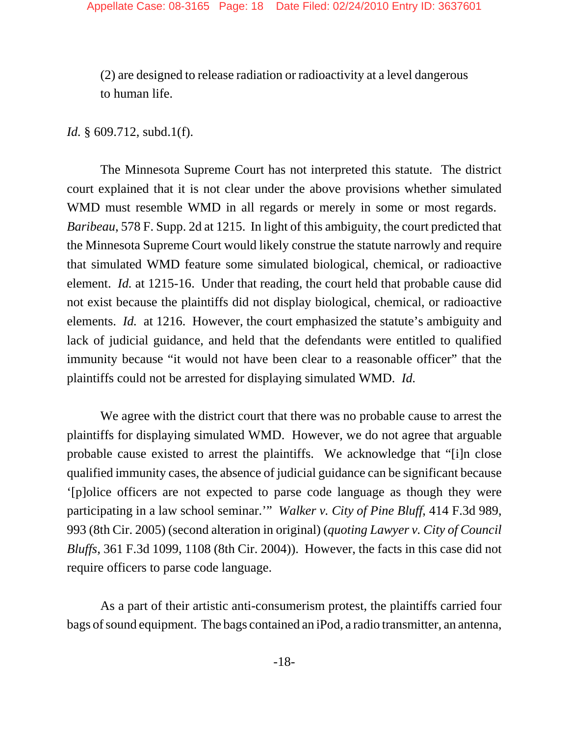(2) are designed to release radiation or radioactivity at a level dangerous to human life.

*Id.* § 609.712, subd.1(f).

The Minnesota Supreme Court has not interpreted this statute. The district court explained that it is not clear under the above provisions whether simulated WMD must resemble WMD in all regards or merely in some or most regards. *Baribeau*, 578 F. Supp. 2d at 1215. In light of this ambiguity, the court predicted that the Minnesota Supreme Court would likely construe the statute narrowly and require that simulated WMD feature some simulated biological, chemical, or radioactive element. *Id.* at 1215-16. Under that reading, the court held that probable cause did not exist because the plaintiffs did not display biological, chemical, or radioactive elements. *Id.* at 1216. However, the court emphasized the statute's ambiguity and lack of judicial guidance, and held that the defendants were entitled to qualified immunity because "it would not have been clear to a reasonable officer" that the plaintiffs could not be arrested for displaying simulated WMD. *Id.*

We agree with the district court that there was no probable cause to arrest the plaintiffs for displaying simulated WMD. However, we do not agree that arguable probable cause existed to arrest the plaintiffs. We acknowledge that "[i]n close qualified immunity cases, the absence of judicial guidance can be significant because '[p]olice officers are not expected to parse code language as though they were participating in a law school seminar.'" *Walker v. City of Pine Bluff*, 414 F.3d 989, 993 (8th Cir. 2005) (second alteration in original) (*quoting Lawyer v. City of Council Bluffs*, 361 F.3d 1099, 1108 (8th Cir. 2004)). However, the facts in this case did not require officers to parse code language.

As a part of their artistic anti-consumerism protest, the plaintiffs carried four bags of sound equipment. The bags contained an iPod, a radio transmitter, an antenna,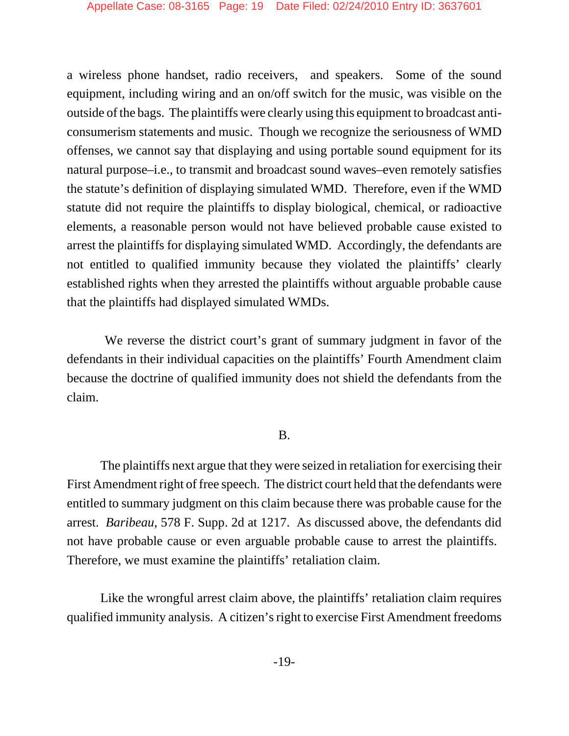a wireless phone handset, radio receivers, and speakers. Some of the sound equipment, including wiring and an on/off switch for the music, was visible on the outside of the bags. The plaintiffs were clearly using this equipment to broadcast anticonsumerism statements and music. Though we recognize the seriousness of WMD offenses, we cannot say that displaying and using portable sound equipment for its natural purpose–i.e., to transmit and broadcast sound waves–even remotely satisfies the statute's definition of displaying simulated WMD. Therefore, even if the WMD statute did not require the plaintiffs to display biological, chemical, or radioactive elements, a reasonable person would not have believed probable cause existed to arrest the plaintiffs for displaying simulated WMD. Accordingly, the defendants are not entitled to qualified immunity because they violated the plaintiffs' clearly established rights when they arrested the plaintiffs without arguable probable cause that the plaintiffs had displayed simulated WMDs.

 We reverse the district court's grant of summary judgment in favor of the defendants in their individual capacities on the plaintiffs' Fourth Amendment claim because the doctrine of qualified immunity does not shield the defendants from the claim.

#### B.

The plaintiffs next argue that they were seized in retaliation for exercising their First Amendment right of free speech. The district court held that the defendants were entitled to summary judgment on this claim because there was probable cause for the arrest. *Baribeau*, 578 F. Supp. 2d at 1217. As discussed above, the defendants did not have probable cause or even arguable probable cause to arrest the plaintiffs. Therefore, we must examine the plaintiffs' retaliation claim.

Like the wrongful arrest claim above, the plaintiffs' retaliation claim requires qualified immunity analysis. A citizen's right to exercise First Amendment freedoms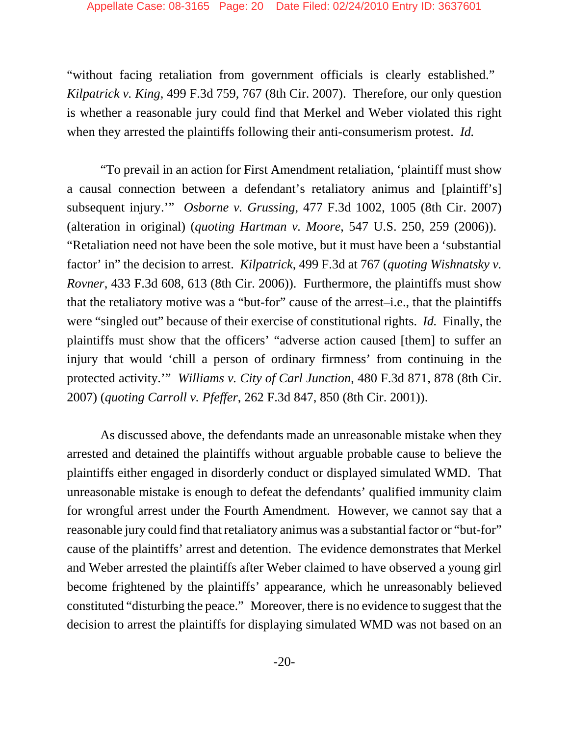"without facing retaliation from government officials is clearly established." *Kilpatrick v. King*, 499 F.3d 759, 767 (8th Cir. 2007). Therefore, our only question is whether a reasonable jury could find that Merkel and Weber violated this right when they arrested the plaintiffs following their anti-consumerism protest. *Id.*

"To prevail in an action for First Amendment retaliation, 'plaintiff must show a causal connection between a defendant's retaliatory animus and [plaintiff's] subsequent injury.'" *Osborne v. Grussing*, 477 F.3d 1002, 1005 (8th Cir. 2007) (alteration in original) (*quoting Hartman v. Moore*, 547 U.S. 250, 259 (2006)). "Retaliation need not have been the sole motive, but it must have been a 'substantial factor' in" the decision to arrest. *Kilpatrick*, 499 F.3d at 767 (*quoting Wishnatsky v. Rovner*, 433 F.3d 608, 613 (8th Cir. 2006)). Furthermore, the plaintiffs must show that the retaliatory motive was a "but-for" cause of the arrest–i.e., that the plaintiffs were "singled out" because of their exercise of constitutional rights. *Id.* Finally, the plaintiffs must show that the officers' "adverse action caused [them] to suffer an injury that would 'chill a person of ordinary firmness' from continuing in the protected activity.'" *Williams v. City of Carl Junction*, 480 F.3d 871, 878 (8th Cir. 2007) (*quoting Carroll v. Pfeffer*, 262 F.3d 847, 850 (8th Cir. 2001)).

As discussed above, the defendants made an unreasonable mistake when they arrested and detained the plaintiffs without arguable probable cause to believe the plaintiffs either engaged in disorderly conduct or displayed simulated WMD. That unreasonable mistake is enough to defeat the defendants' qualified immunity claim for wrongful arrest under the Fourth Amendment. However, we cannot say that a reasonable jury could find that retaliatory animus was a substantial factor or "but-for" cause of the plaintiffs' arrest and detention. The evidence demonstrates that Merkel and Weber arrested the plaintiffs after Weber claimed to have observed a young girl become frightened by the plaintiffs' appearance, which he unreasonably believed constituted "disturbing the peace." Moreover, there is no evidence to suggest that the decision to arrest the plaintiffs for displaying simulated WMD was not based on an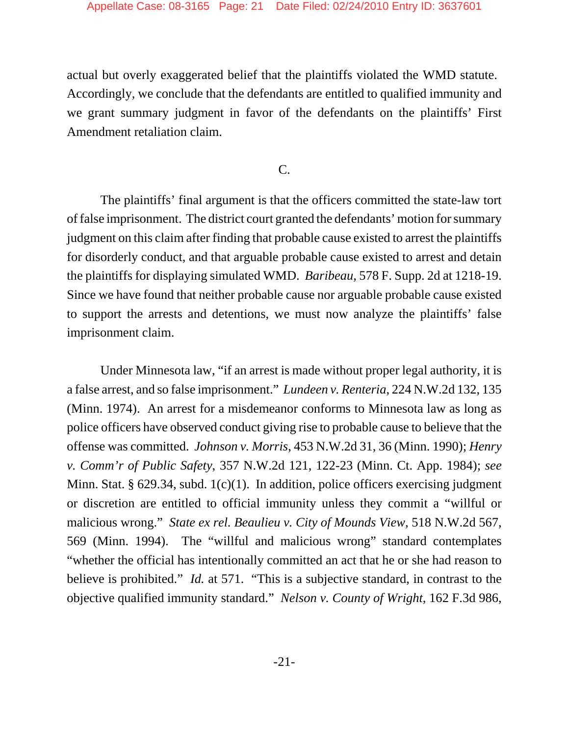actual but overly exaggerated belief that the plaintiffs violated the WMD statute. Accordingly, we conclude that the defendants are entitled to qualified immunity and we grant summary judgment in favor of the defendants on the plaintiffs' First Amendment retaliation claim.

## C.

The plaintiffs' final argument is that the officers committed the state-law tort of false imprisonment. The district court granted the defendants' motion for summary judgment on this claim after finding that probable cause existed to arrest the plaintiffs for disorderly conduct, and that arguable probable cause existed to arrest and detain the plaintiffs for displaying simulated WMD. *Baribeau*, 578 F. Supp. 2d at 1218-19. Since we have found that neither probable cause nor arguable probable cause existed to support the arrests and detentions, we must now analyze the plaintiffs' false imprisonment claim.

Under Minnesota law, "if an arrest is made without proper legal authority, it is a false arrest, and so false imprisonment." *Lundeen v. Renteria*, 224 N.W.2d 132, 135 (Minn. 1974). An arrest for a misdemeanor conforms to Minnesota law as long as police officers have observed conduct giving rise to probable cause to believe that the offense was committed. *Johnson v. Morris*, 453 N.W.2d 31, 36 (Minn. 1990); *Henry v. Comm'r of Public Safety*, 357 N.W.2d 121, 122-23 (Minn. Ct. App. 1984); *see* Minn. Stat. § 629.34, subd. 1(c)(1). In addition, police officers exercising judgment or discretion are entitled to official immunity unless they commit a "willful or malicious wrong." *State ex rel. Beaulieu v. City of Mounds View*, 518 N.W.2d 567, 569 (Minn. 1994). The "willful and malicious wrong" standard contemplates "whether the official has intentionally committed an act that he or she had reason to believe is prohibited." *Id.* at 571. "This is a subjective standard, in contrast to the objective qualified immunity standard." *Nelson v. County of Wright*, 162 F.3d 986,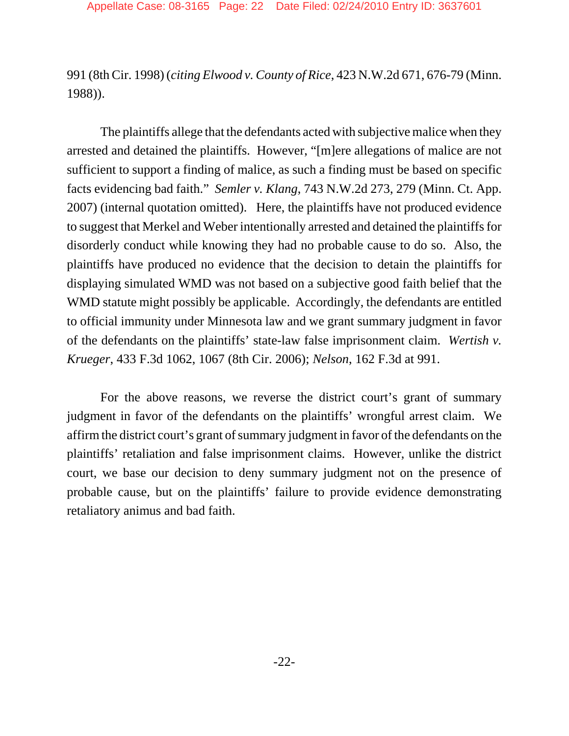991 (8th Cir. 1998) (*citing Elwood v. County of Rice*, 423 N.W.2d 671, 676-79 (Minn. 1988)).

The plaintiffs allege that the defendants acted with subjective malice when they arrested and detained the plaintiffs. However, "[m]ere allegations of malice are not sufficient to support a finding of malice, as such a finding must be based on specific facts evidencing bad faith." *Semler v. Klang*, 743 N.W.2d 273, 279 (Minn. Ct. App. 2007) (internal quotation omitted). Here, the plaintiffs have not produced evidence to suggest that Merkel and Weber intentionally arrested and detained the plaintiffs for disorderly conduct while knowing they had no probable cause to do so. Also, the plaintiffs have produced no evidence that the decision to detain the plaintiffs for displaying simulated WMD was not based on a subjective good faith belief that the WMD statute might possibly be applicable. Accordingly, the defendants are entitled to official immunity under Minnesota law and we grant summary judgment in favor of the defendants on the plaintiffs' state-law false imprisonment claim. *Wertish v. Krueger*, 433 F.3d 1062, 1067 (8th Cir. 2006); *Nelson*, 162 F.3d at 991.

For the above reasons, we reverse the district court's grant of summary judgment in favor of the defendants on the plaintiffs' wrongful arrest claim. We affirm the district court's grant of summary judgment in favor of the defendants on the plaintiffs' retaliation and false imprisonment claims. However, unlike the district court, we base our decision to deny summary judgment not on the presence of probable cause, but on the plaintiffs' failure to provide evidence demonstrating retaliatory animus and bad faith.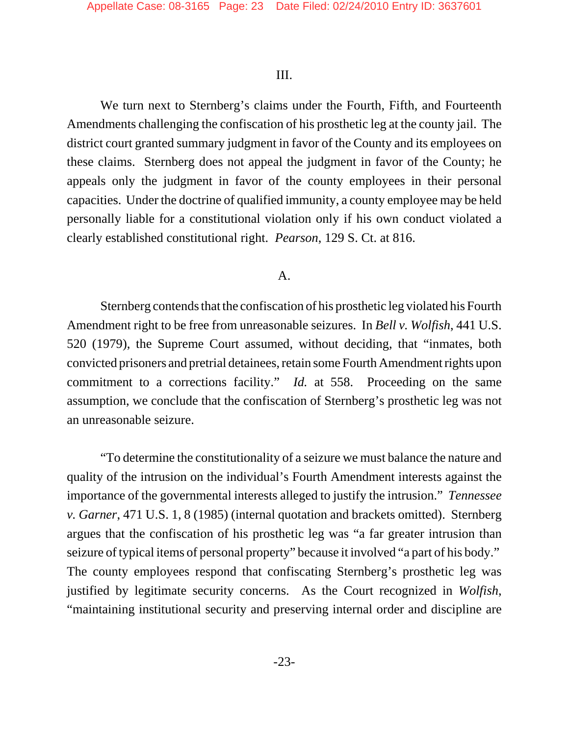#### III.

We turn next to Sternberg's claims under the Fourth, Fifth, and Fourteenth Amendments challenging the confiscation of his prosthetic leg at the county jail. The district court granted summary judgment in favor of the County and its employees on these claims. Sternberg does not appeal the judgment in favor of the County; he appeals only the judgment in favor of the county employees in their personal capacities. Under the doctrine of qualified immunity, a county employee may be held personally liable for a constitutional violation only if his own conduct violated a clearly established constitutional right. *Pearson*, 129 S. Ct. at 816.

#### A.

Sternberg contends that the confiscation of his prosthetic leg violated his Fourth Amendment right to be free from unreasonable seizures. In *Bell v. Wolfish*, 441 U.S. 520 (1979), the Supreme Court assumed, without deciding, that "inmates, both convicted prisoners and pretrial detainees, retain some Fourth Amendment rights upon commitment to a corrections facility." *Id.* at 558. Proceeding on the same assumption, we conclude that the confiscation of Sternberg's prosthetic leg was not an unreasonable seizure.

"To determine the constitutionality of a seizure we must balance the nature and quality of the intrusion on the individual's Fourth Amendment interests against the importance of the governmental interests alleged to justify the intrusion." *Tennessee v. Garner*, 471 U.S. 1, 8 (1985) (internal quotation and brackets omitted). Sternberg argues that the confiscation of his prosthetic leg was "a far greater intrusion than seizure of typical items of personal property" because it involved "a part of his body." The county employees respond that confiscating Sternberg's prosthetic leg was justified by legitimate security concerns. As the Court recognized in *Wolfish*, "maintaining institutional security and preserving internal order and discipline are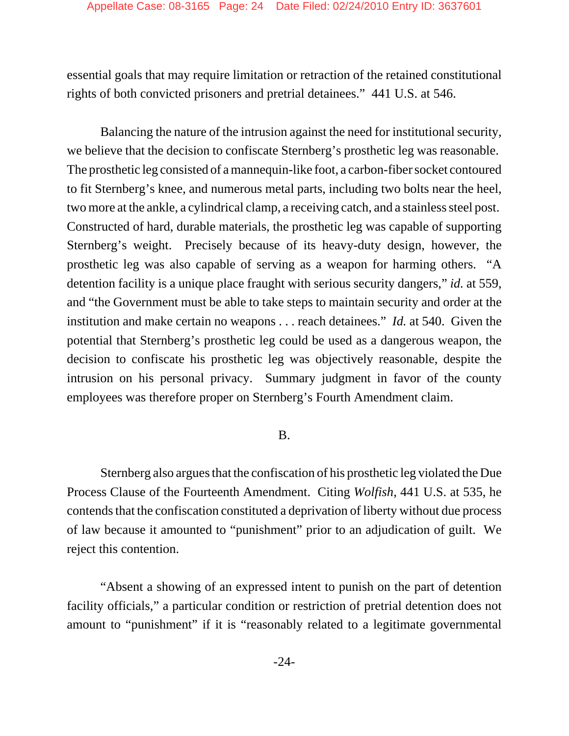essential goals that may require limitation or retraction of the retained constitutional rights of both convicted prisoners and pretrial detainees." 441 U.S. at 546.

Balancing the nature of the intrusion against the need for institutional security, we believe that the decision to confiscate Sternberg's prosthetic leg was reasonable. The prosthetic leg consisted of a mannequin-like foot, a carbon-fiber socket contoured to fit Sternberg's knee, and numerous metal parts, including two bolts near the heel, two more at the ankle, a cylindrical clamp, a receiving catch, and a stainless steel post. Constructed of hard, durable materials, the prosthetic leg was capable of supporting Sternberg's weight. Precisely because of its heavy-duty design, however, the prosthetic leg was also capable of serving as a weapon for harming others. "A detention facility is a unique place fraught with serious security dangers," *id.* at 559, and "the Government must be able to take steps to maintain security and order at the institution and make certain no weapons . . . reach detainees." *Id.* at 540. Given the potential that Sternberg's prosthetic leg could be used as a dangerous weapon, the decision to confiscate his prosthetic leg was objectively reasonable, despite the intrusion on his personal privacy. Summary judgment in favor of the county employees was therefore proper on Sternberg's Fourth Amendment claim.

# B.

Sternberg also argues that the confiscation of his prosthetic leg violated the Due Process Clause of the Fourteenth Amendment. Citing *Wolfish*, 441 U.S. at 535, he contends that the confiscation constituted a deprivation of liberty without due process of law because it amounted to "punishment" prior to an adjudication of guilt. We reject this contention.

"Absent a showing of an expressed intent to punish on the part of detention facility officials," a particular condition or restriction of pretrial detention does not amount to "punishment" if it is "reasonably related to a legitimate governmental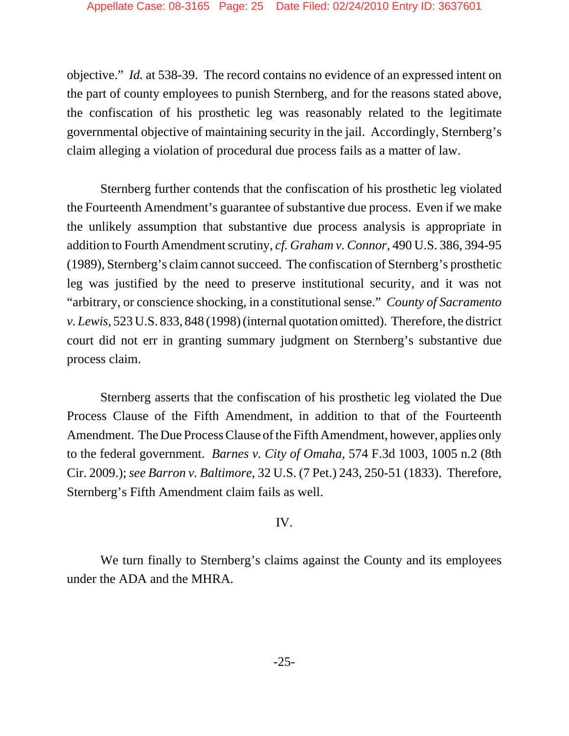objective." *Id.* at 538-39. The record contains no evidence of an expressed intent on the part of county employees to punish Sternberg, and for the reasons stated above, the confiscation of his prosthetic leg was reasonably related to the legitimate governmental objective of maintaining security in the jail. Accordingly, Sternberg's claim alleging a violation of procedural due process fails as a matter of law.

Sternberg further contends that the confiscation of his prosthetic leg violated the Fourteenth Amendment's guarantee of substantive due process. Even if we make the unlikely assumption that substantive due process analysis is appropriate in addition to Fourth Amendment scrutiny, *cf. Graham v. Connor*, 490 U.S. 386, 394-95 (1989), Sternberg's claim cannot succeed. The confiscation of Sternberg's prosthetic leg was justified by the need to preserve institutional security, and it was not "arbitrary, or conscience shocking, in a constitutional sense." *County of Sacramento v. Lewis*, 523 U.S. 833, 848 (1998) (internal quotation omitted). Therefore, the district court did not err in granting summary judgment on Sternberg's substantive due process claim.

Sternberg asserts that the confiscation of his prosthetic leg violated the Due Process Clause of the Fifth Amendment, in addition to that of the Fourteenth Amendment. The Due Process Clause of the Fifth Amendment, however, applies only to the federal government. *Barnes v. City of Omaha*, 574 F.3d 1003, 1005 n.2 (8th Cir. 2009.); *see Barron v. Baltimore*, 32 U.S. (7 Pet.) 243, 250-51 (1833). Therefore, Sternberg's Fifth Amendment claim fails as well.

## IV.

We turn finally to Sternberg's claims against the County and its employees under the ADA and the MHRA.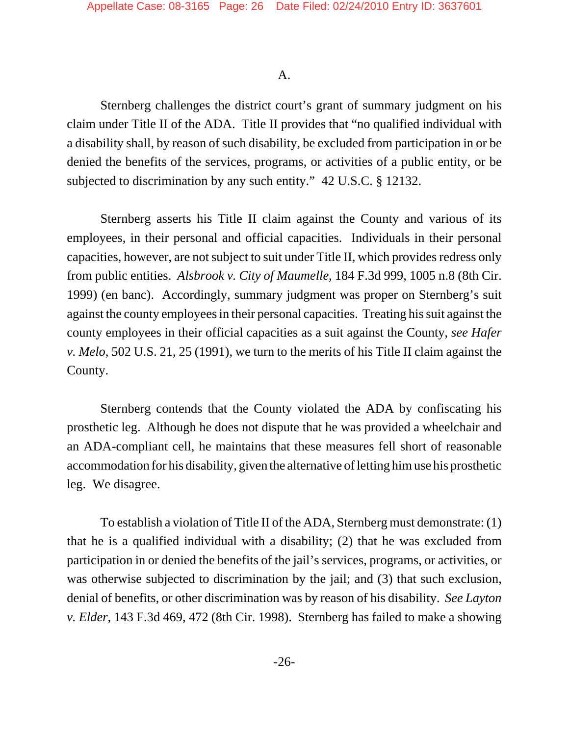## A.

Sternberg challenges the district court's grant of summary judgment on his claim under Title II of the ADA. Title II provides that "no qualified individual with a disability shall, by reason of such disability, be excluded from participation in or be denied the benefits of the services, programs, or activities of a public entity, or be subjected to discrimination by any such entity." 42 U.S.C. § 12132.

Sternberg asserts his Title II claim against the County and various of its employees, in their personal and official capacities. Individuals in their personal capacities, however, are not subject to suit under Title II, which provides redress only from public entities. *Alsbrook v. City of Maumelle*, 184 F.3d 999, 1005 n.8 (8th Cir. 1999) (en banc). Accordingly, summary judgment was proper on Sternberg's suit against the county employees in their personal capacities. Treating his suit against the county employees in their official capacities as a suit against the County, *see Hafer v. Melo*, 502 U.S. 21, 25 (1991), we turn to the merits of his Title II claim against the County.

Sternberg contends that the County violated the ADA by confiscating his prosthetic leg. Although he does not dispute that he was provided a wheelchair and an ADA-compliant cell, he maintains that these measures fell short of reasonable accommodation for his disability, given the alternative of letting him use his prosthetic leg. We disagree.

To establish a violation of Title II of the ADA, Sternberg must demonstrate: (1) that he is a qualified individual with a disability; (2) that he was excluded from participation in or denied the benefits of the jail's services, programs, or activities, or was otherwise subjected to discrimination by the jail; and (3) that such exclusion, denial of benefits, or other discrimination was by reason of his disability. *See Layton v. Elder*, 143 F.3d 469, 472 (8th Cir. 1998). Sternberg has failed to make a showing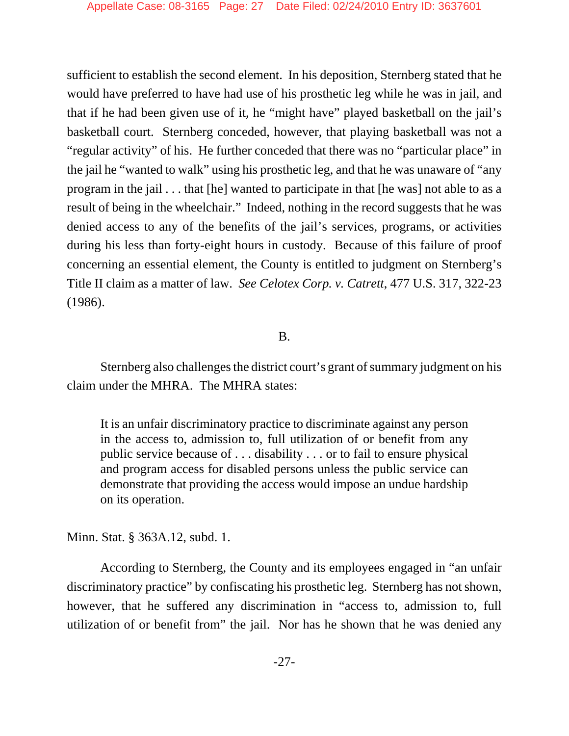sufficient to establish the second element. In his deposition, Sternberg stated that he would have preferred to have had use of his prosthetic leg while he was in jail, and that if he had been given use of it, he "might have" played basketball on the jail's basketball court. Sternberg conceded, however, that playing basketball was not a "regular activity" of his. He further conceded that there was no "particular place" in the jail he "wanted to walk" using his prosthetic leg, and that he was unaware of "any program in the jail . . . that [he] wanted to participate in that [he was] not able to as a result of being in the wheelchair." Indeed, nothing in the record suggests that he was denied access to any of the benefits of the jail's services, programs, or activities during his less than forty-eight hours in custody. Because of this failure of proof concerning an essential element, the County is entitled to judgment on Sternberg's Title II claim as a matter of law. *See Celotex Corp. v. Catrett*, 477 U.S. 317, 322-23 (1986).

## B.

Sternberg also challenges the district court's grant of summary judgment on his claim under the MHRA. The MHRA states:

It is an unfair discriminatory practice to discriminate against any person in the access to, admission to, full utilization of or benefit from any public service because of . . . disability . . . or to fail to ensure physical and program access for disabled persons unless the public service can demonstrate that providing the access would impose an undue hardship on its operation.

Minn. Stat. § 363A.12, subd. 1.

According to Sternberg, the County and its employees engaged in "an unfair discriminatory practice" by confiscating his prosthetic leg. Sternberg has not shown, however, that he suffered any discrimination in "access to, admission to, full utilization of or benefit from" the jail. Nor has he shown that he was denied any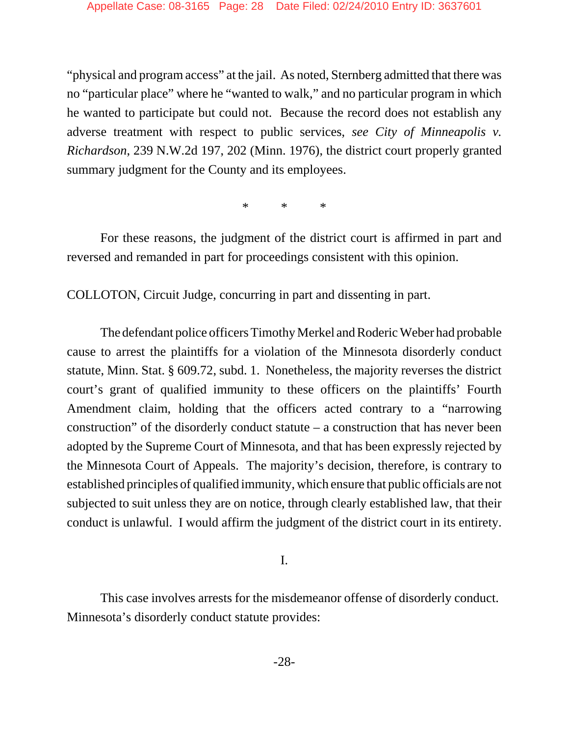"physical and program access" at the jail. As noted, Sternberg admitted that there was no "particular place" where he "wanted to walk," and no particular program in which he wanted to participate but could not. Because the record does not establish any adverse treatment with respect to public services, *see City of Minneapolis v. Richardson*, 239 N.W.2d 197, 202 (Minn. 1976), the district court properly granted summary judgment for the County and its employees.

\* \* \*

For these reasons, the judgment of the district court is affirmed in part and reversed and remanded in part for proceedings consistent with this opinion.

COLLOTON, Circuit Judge, concurring in part and dissenting in part.

The defendant police officers Timothy Merkel and Roderic Weber had probable cause to arrest the plaintiffs for a violation of the Minnesota disorderly conduct statute, Minn. Stat. § 609.72, subd. 1. Nonetheless, the majority reverses the district court's grant of qualified immunity to these officers on the plaintiffs' Fourth Amendment claim, holding that the officers acted contrary to a "narrowing construction" of the disorderly conduct statute – a construction that has never been adopted by the Supreme Court of Minnesota, and that has been expressly rejected by the Minnesota Court of Appeals. The majority's decision, therefore, is contrary to established principles of qualified immunity, which ensure that public officials are not subjected to suit unless they are on notice, through clearly established law, that their conduct is unlawful. I would affirm the judgment of the district court in its entirety.

I.

This case involves arrests for the misdemeanor offense of disorderly conduct. Minnesota's disorderly conduct statute provides: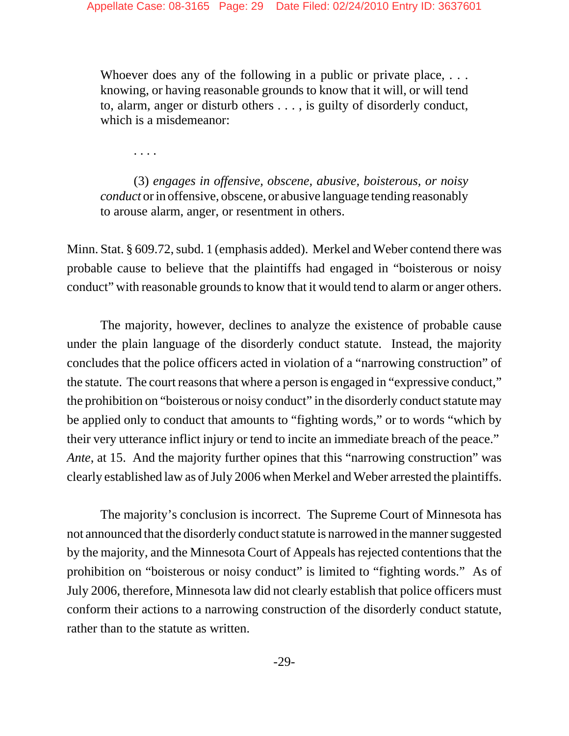Whoever does any of the following in a public or private place, ... knowing, or having reasonable grounds to know that it will, or will tend to, alarm, anger or disturb others . . . , is guilty of disorderly conduct, which is a misdemeanor:

. . . .

(3) *engages in offensive, obscene, abusive, boisterous, or noisy conduct* or in offensive, obscene, or abusive language tending reasonably to arouse alarm, anger, or resentment in others.

Minn. Stat. § 609.72, subd. 1 (emphasis added). Merkel and Weber contend there was probable cause to believe that the plaintiffs had engaged in "boisterous or noisy conduct" with reasonable grounds to know that it would tend to alarm or anger others.

The majority, however, declines to analyze the existence of probable cause under the plain language of the disorderly conduct statute. Instead, the majority concludes that the police officers acted in violation of a "narrowing construction" of the statute. The court reasons that where a person is engaged in "expressive conduct," the prohibition on "boisterous or noisy conduct" in the disorderly conduct statute may be applied only to conduct that amounts to "fighting words," or to words "which by their very utterance inflict injury or tend to incite an immediate breach of the peace." *Ante*, at 15. And the majority further opines that this "narrowing construction" was clearly established law as of July 2006 when Merkel and Weber arrested the plaintiffs.

The majority's conclusion is incorrect. The Supreme Court of Minnesota has not announced that the disorderly conduct statute is narrowed in the manner suggested by the majority, and the Minnesota Court of Appeals has rejected contentions that the prohibition on "boisterous or noisy conduct" is limited to "fighting words." As of July 2006, therefore, Minnesota law did not clearly establish that police officers must conform their actions to a narrowing construction of the disorderly conduct statute, rather than to the statute as written.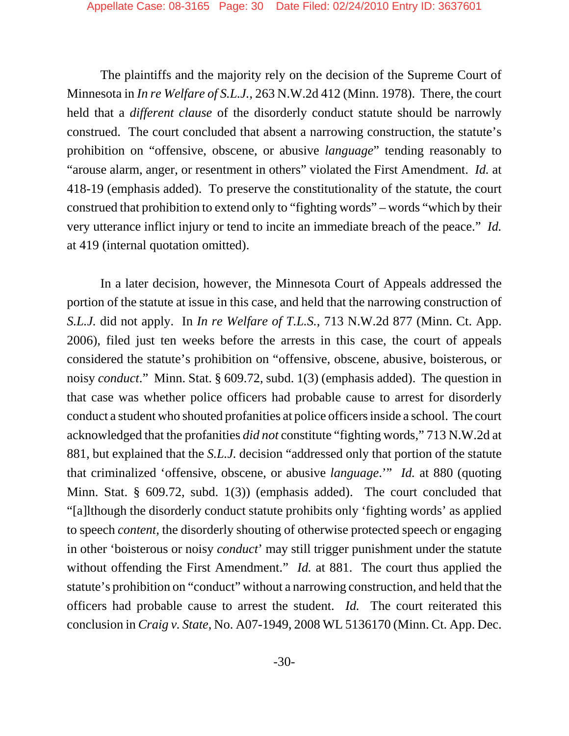The plaintiffs and the majority rely on the decision of the Supreme Court of Minnesota in *In re Welfare of S.L.J.*, 263 N.W.2d 412 (Minn. 1978). There, the court held that a *different clause* of the disorderly conduct statute should be narrowly construed. The court concluded that absent a narrowing construction, the statute's prohibition on "offensive, obscene, or abusive *language*" tending reasonably to "arouse alarm, anger, or resentment in others" violated the First Amendment. *Id.* at 418-19 (emphasis added). To preserve the constitutionality of the statute, the court construed that prohibition to extend only to "fighting words" – words "which by their very utterance inflict injury or tend to incite an immediate breach of the peace." *Id.* at 419 (internal quotation omitted).

In a later decision, however, the Minnesota Court of Appeals addressed the portion of the statute at issue in this case, and held that the narrowing construction of *S.L.J.* did not apply. In *In re Welfare of T.L.S.*, 713 N.W.2d 877 (Minn. Ct. App. 2006), filed just ten weeks before the arrests in this case, the court of appeals considered the statute's prohibition on "offensive, obscene, abusive, boisterous, or noisy *conduct*." Minn. Stat. § 609.72, subd. 1(3) (emphasis added). The question in that case was whether police officers had probable cause to arrest for disorderly conduct a student who shouted profanities at police officers inside a school. The court acknowledged that the profanities *did not* constitute "fighting words," 713 N.W.2d at 881, but explained that the *S.L.J.* decision "addressed only that portion of the statute that criminalized 'offensive, obscene, or abusive *language*.'" *Id.* at 880 (quoting Minn. Stat. § 609.72, subd. 1(3)) (emphasis added). The court concluded that "[a]lthough the disorderly conduct statute prohibits only 'fighting words' as applied to speech *content*, the disorderly shouting of otherwise protected speech or engaging in other 'boisterous or noisy *conduct*' may still trigger punishment under the statute without offending the First Amendment." *Id.* at 881. The court thus applied the statute's prohibition on "conduct" without a narrowing construction, and held that the officers had probable cause to arrest the student. *Id.* The court reiterated this conclusion in *Craig v. State*, No. A07-1949, 2008 WL 5136170 (Minn. Ct. App. Dec.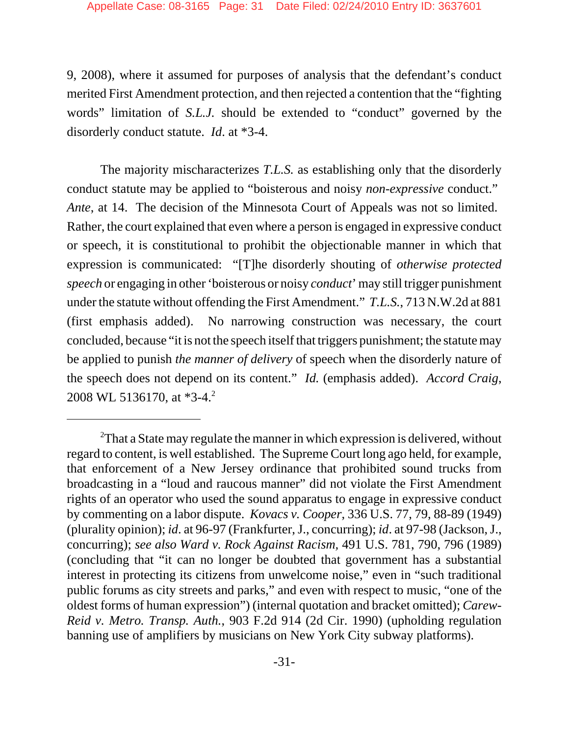9, 2008), where it assumed for purposes of analysis that the defendant's conduct merited First Amendment protection, and then rejected a contention that the "fighting words" limitation of *S.L.J.* should be extended to "conduct" governed by the disorderly conduct statute. *Id*. at \*3-4.

The majority mischaracterizes *T.L.S.* as establishing only that the disorderly conduct statute may be applied to "boisterous and noisy *non-expressive* conduct." *Ante*, at 14. The decision of the Minnesota Court of Appeals was not so limited. Rather, the court explained that even where a person is engaged in expressive conduct or speech, it is constitutional to prohibit the objectionable manner in which that expression is communicated: "[T]he disorderly shouting of *otherwise protected speech* or engaging in other'boisterous or noisy *conduct*' may still trigger punishment under the statute without offending the First Amendment." *T.L.S.*, 713 N.W.2d at 881 (first emphasis added). No narrowing construction was necessary, the court concluded, because "it is not the speech itself that triggers punishment; the statute may be applied to punish *the manner of delivery* of speech when the disorderly nature of the speech does not depend on its content." *Id.* (emphasis added). *Accord Craig*, 2008 WL 5136170, at \*3-4.<sup>2</sup>

 $2$ That a State may regulate the manner in which expression is delivered, without regard to content, is well established. The Supreme Court long ago held, for example, that enforcement of a New Jersey ordinance that prohibited sound trucks from broadcasting in a "loud and raucous manner" did not violate the First Amendment rights of an operator who used the sound apparatus to engage in expressive conduct by commenting on a labor dispute. *Kovacs v. Cooper*, 336 U.S. 77, 79, 88-89 (1949) (plurality opinion); *id*. at 96-97 (Frankfurter, J., concurring); *id*. at 97-98 (Jackson, J., concurring); *see also Ward v. Rock Against Racism,* 491 U.S. 781, 790, 796 (1989) (concluding that "it can no longer be doubted that government has a substantial interest in protecting its citizens from unwelcome noise," even in "such traditional public forums as city streets and parks," and even with respect to music, "one of the oldest forms of human expression") (internal quotation and bracket omitted); *Carew-Reid v. Metro. Transp. Auth.*, 903 F.2d 914 (2d Cir. 1990) (upholding regulation banning use of amplifiers by musicians on New York City subway platforms).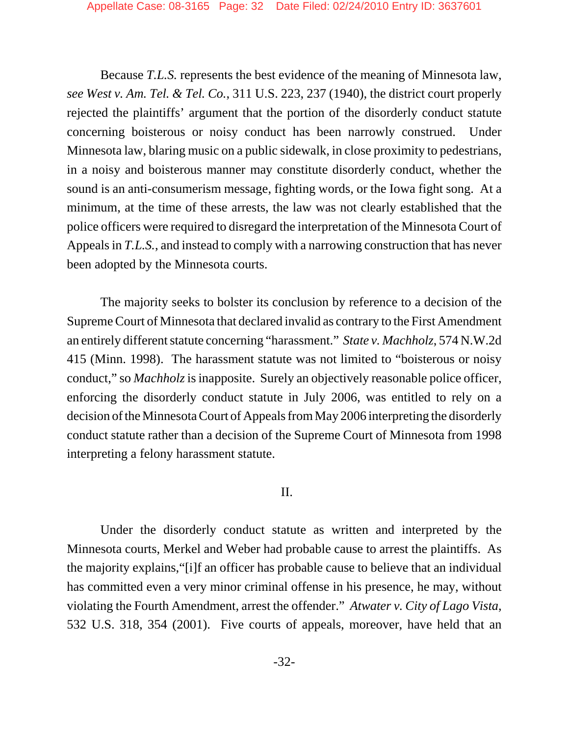Because *T.L.S.* represents the best evidence of the meaning of Minnesota law, *see West v. Am. Tel. & Tel. Co.*, 311 U.S. 223, 237 (1940), the district court properly rejected the plaintiffs' argument that the portion of the disorderly conduct statute concerning boisterous or noisy conduct has been narrowly construed. Under Minnesota law, blaring music on a public sidewalk, in close proximity to pedestrians, in a noisy and boisterous manner may constitute disorderly conduct, whether the sound is an anti-consumerism message, fighting words, or the Iowa fight song. At a minimum, at the time of these arrests, the law was not clearly established that the police officers were required to disregard the interpretation of the Minnesota Court of Appeals in *T.L.S.*, and instead to comply with a narrowing construction that has never been adopted by the Minnesota courts.

The majority seeks to bolster its conclusion by reference to a decision of the Supreme Court of Minnesota that declared invalid as contrary to the First Amendment an entirely different statute concerning "harassment." *State v. Machholz*, 574 N.W.2d 415 (Minn. 1998). The harassment statute was not limited to "boisterous or noisy conduct," so *Machholz* is inapposite. Surely an objectively reasonable police officer, enforcing the disorderly conduct statute in July 2006, was entitled to rely on a decision of the Minnesota Court of Appeals from May 2006 interpreting the disorderly conduct statute rather than a decision of the Supreme Court of Minnesota from 1998 interpreting a felony harassment statute.

#### II.

Under the disorderly conduct statute as written and interpreted by the Minnesota courts, Merkel and Weber had probable cause to arrest the plaintiffs. As the majority explains,"[i]f an officer has probable cause to believe that an individual has committed even a very minor criminal offense in his presence, he may, without violating the Fourth Amendment, arrest the offender." *Atwater v. City of Lago Vista*, 532 U.S. 318, 354 (2001). Five courts of appeals, moreover, have held that an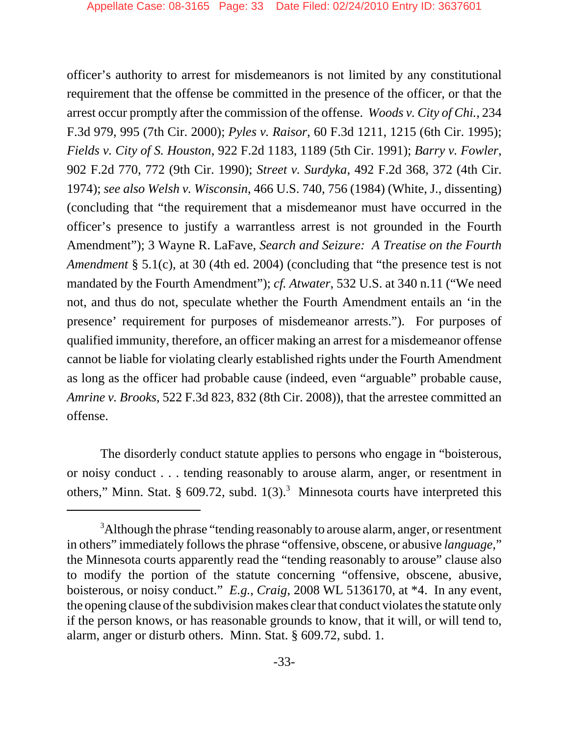officer's authority to arrest for misdemeanors is not limited by any constitutional requirement that the offense be committed in the presence of the officer, or that the arrest occur promptly after the commission of the offense. *Woods v. City of Chi.*, 234 F.3d 979, 995 (7th Cir. 2000); *Pyles v. Raisor*, 60 F.3d 1211, 1215 (6th Cir. 1995); *Fields v. City of S. Houston*, 922 F.2d 1183, 1189 (5th Cir. 1991); *Barry v. Fowler*, 902 F.2d 770, 772 (9th Cir. 1990); *Street v. Surdyka*, 492 F.2d 368, 372 (4th Cir. 1974); *see also Welsh v. Wisconsin*, 466 U.S. 740, 756 (1984) (White, J., dissenting) (concluding that "the requirement that a misdemeanor must have occurred in the officer's presence to justify a warrantless arrest is not grounded in the Fourth Amendment"); 3 Wayne R. LaFave, *Search and Seizure: A Treatise on the Fourth Amendment* § 5.1(c), at 30 (4th ed. 2004) (concluding that "the presence test is not mandated by the Fourth Amendment"); *cf. Atwater*, 532 U.S. at 340 n.11 ("We need not, and thus do not, speculate whether the Fourth Amendment entails an 'in the presence' requirement for purposes of misdemeanor arrests."). For purposes of qualified immunity, therefore, an officer making an arrest for a misdemeanor offense cannot be liable for violating clearly established rights under the Fourth Amendment as long as the officer had probable cause (indeed, even "arguable" probable cause, *Amrine v. Brooks*, 522 F.3d 823, 832 (8th Cir. 2008)), that the arrestee committed an offense.

The disorderly conduct statute applies to persons who engage in "boisterous, or noisy conduct . . . tending reasonably to arouse alarm, anger, or resentment in others," Minn. Stat. § 609.72, subd.  $1(3)$ .<sup>3</sup> Minnesota courts have interpreted this

 $3$ Although the phrase "tending reasonably to arouse alarm, anger, or resentment in others" immediately follows the phrase "offensive, obscene, or abusive *language*," the Minnesota courts apparently read the "tending reasonably to arouse" clause also to modify the portion of the statute concerning "offensive, obscene, abusive, boisterous, or noisy conduct." *E.g.*, *Craig*, 2008 WL 5136170, at \*4. In any event, the opening clause of the subdivision makes clear that conduct violates the statute only if the person knows, or has reasonable grounds to know, that it will, or will tend to, alarm, anger or disturb others. Minn. Stat. § 609.72, subd. 1.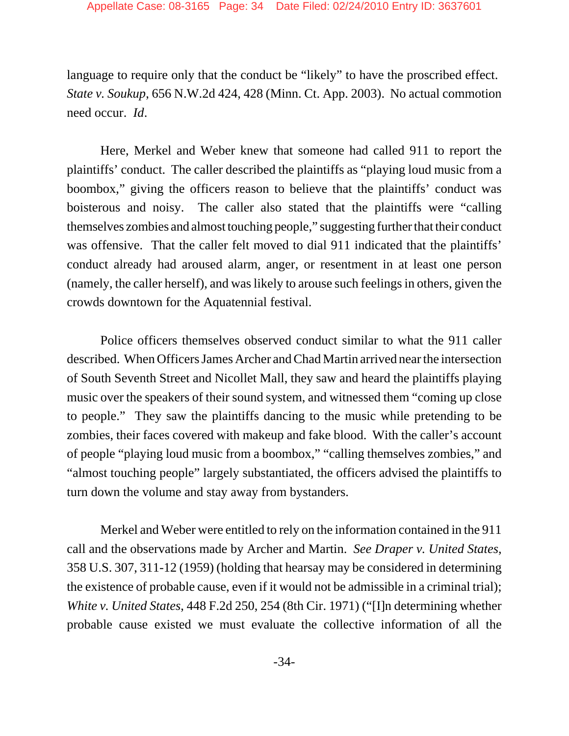language to require only that the conduct be "likely" to have the proscribed effect. *State v. Soukup*, 656 N.W.2d 424, 428 (Minn. Ct. App. 2003). No actual commotion need occur. *Id*.

Here, Merkel and Weber knew that someone had called 911 to report the plaintiffs' conduct. The caller described the plaintiffs as "playing loud music from a boombox," giving the officers reason to believe that the plaintiffs' conduct was boisterous and noisy. The caller also stated that the plaintiffs were "calling themselves zombies and almost touching people," suggesting further that their conduct was offensive. That the caller felt moved to dial 911 indicated that the plaintiffs' conduct already had aroused alarm, anger, or resentment in at least one person (namely, the caller herself), and was likely to arouse such feelings in others, given the crowds downtown for the Aquatennial festival.

Police officers themselves observed conduct similar to what the 911 caller described. When Officers James Archer and Chad Martin arrived near the intersection of South Seventh Street and Nicollet Mall, they saw and heard the plaintiffs playing music over the speakers of their sound system, and witnessed them "coming up close to people." They saw the plaintiffs dancing to the music while pretending to be zombies, their faces covered with makeup and fake blood. With the caller's account of people "playing loud music from a boombox," "calling themselves zombies," and "almost touching people" largely substantiated, the officers advised the plaintiffs to turn down the volume and stay away from bystanders.

Merkel and Weber were entitled to rely on the information contained in the 911 call and the observations made by Archer and Martin. *See Draper v. United States*, 358 U.S. 307, 311-12 (1959) (holding that hearsay may be considered in determining the existence of probable cause, even if it would not be admissible in a criminal trial); *White v. United States*, 448 F.2d 250, 254 (8th Cir. 1971) ("[I]n determining whether probable cause existed we must evaluate the collective information of all the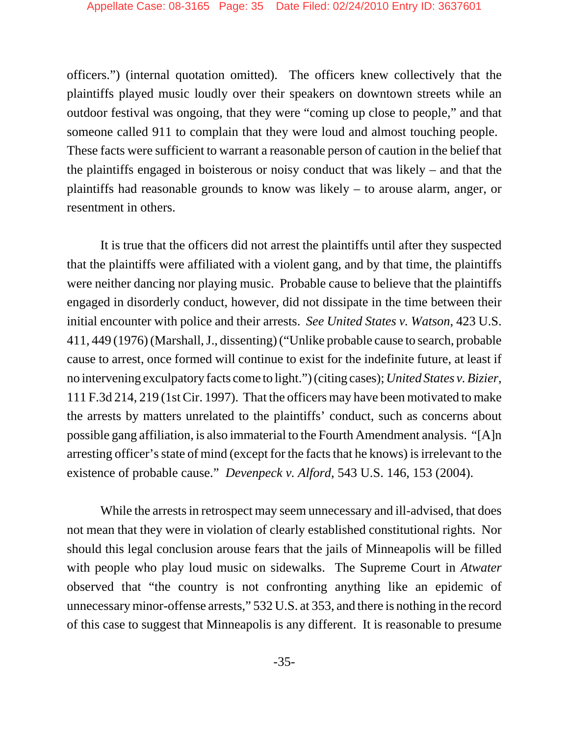officers.") (internal quotation omitted). The officers knew collectively that the plaintiffs played music loudly over their speakers on downtown streets while an outdoor festival was ongoing, that they were "coming up close to people," and that someone called 911 to complain that they were loud and almost touching people. These facts were sufficient to warrant a reasonable person of caution in the belief that the plaintiffs engaged in boisterous or noisy conduct that was likely – and that the plaintiffs had reasonable grounds to know was likely – to arouse alarm, anger, or resentment in others.

It is true that the officers did not arrest the plaintiffs until after they suspected that the plaintiffs were affiliated with a violent gang, and by that time, the plaintiffs were neither dancing nor playing music. Probable cause to believe that the plaintiffs engaged in disorderly conduct, however, did not dissipate in the time between their initial encounter with police and their arrests. *See United States v. Watson*, 423 U.S. 411, 449 (1976) (Marshall, J., dissenting) ("Unlike probable cause to search, probable cause to arrest, once formed will continue to exist for the indefinite future, at least if no intervening exculpatory facts come to light.") (citing cases); *United States v. Bizier*, 111 F.3d 214, 219 (1st Cir. 1997). That the officers may have been motivated to make the arrests by matters unrelated to the plaintiffs' conduct, such as concerns about possible gang affiliation, is also immaterial to the Fourth Amendment analysis. "[A]n arresting officer's state of mind (except for the facts that he knows) is irrelevant to the existence of probable cause." *Devenpeck v. Alford*, 543 U.S. 146, 153 (2004).

While the arrests in retrospect may seem unnecessary and ill-advised, that does not mean that they were in violation of clearly established constitutional rights. Nor should this legal conclusion arouse fears that the jails of Minneapolis will be filled with people who play loud music on sidewalks. The Supreme Court in *Atwater* observed that "the country is not confronting anything like an epidemic of unnecessary minor-offense arrests," 532 U.S. at 353, and there is nothing in the record of this case to suggest that Minneapolis is any different. It is reasonable to presume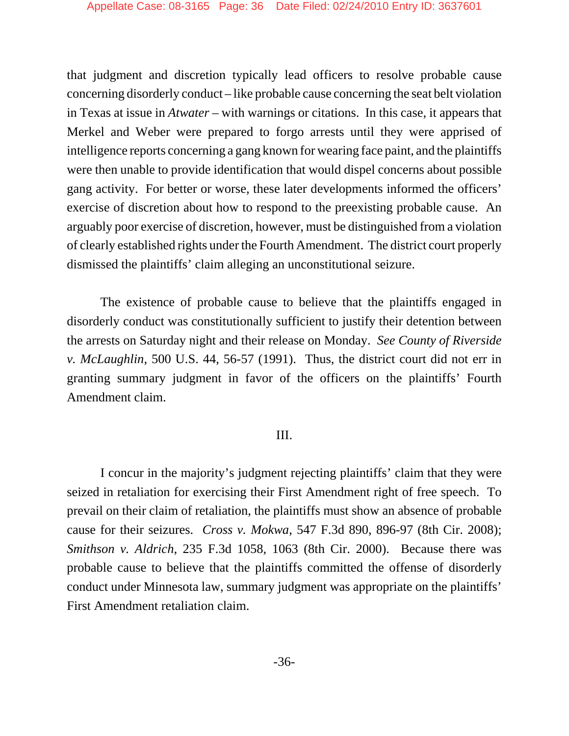that judgment and discretion typically lead officers to resolve probable cause concerning disorderly conduct – like probable cause concerning the seat belt violation in Texas at issue in *Atwater* – with warnings or citations. In this case, it appears that Merkel and Weber were prepared to forgo arrests until they were apprised of intelligence reports concerning a gang known for wearing face paint, and the plaintiffs were then unable to provide identification that would dispel concerns about possible gang activity. For better or worse, these later developments informed the officers' exercise of discretion about how to respond to the preexisting probable cause. An arguably poor exercise of discretion, however, must be distinguished from a violation of clearly established rights under the Fourth Amendment. The district court properly dismissed the plaintiffs' claim alleging an unconstitutional seizure.

The existence of probable cause to believe that the plaintiffs engaged in disorderly conduct was constitutionally sufficient to justify their detention between the arrests on Saturday night and their release on Monday. *See County of Riverside v. McLaughlin*, 500 U.S. 44, 56-57 (1991). Thus, the district court did not err in granting summary judgment in favor of the officers on the plaintiffs' Fourth Amendment claim.

## III.

I concur in the majority's judgment rejecting plaintiffs' claim that they were seized in retaliation for exercising their First Amendment right of free speech. To prevail on their claim of retaliation, the plaintiffs must show an absence of probable cause for their seizures. *Cross v. Mokwa*, 547 F.3d 890, 896-97 (8th Cir. 2008); *Smithson v. Aldrich*, 235 F.3d 1058, 1063 (8th Cir. 2000). Because there was probable cause to believe that the plaintiffs committed the offense of disorderly conduct under Minnesota law, summary judgment was appropriate on the plaintiffs' First Amendment retaliation claim.